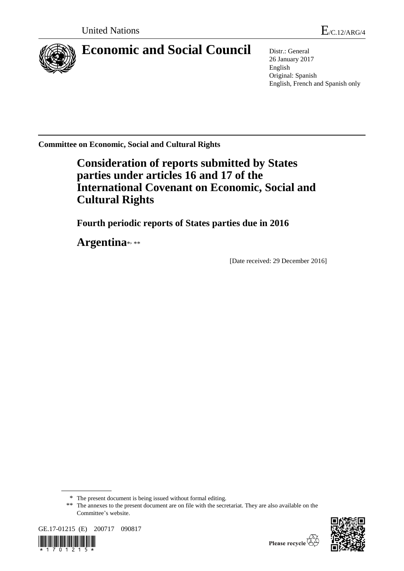

# **Economic and Social Council** Distr.: General

26 January 2017 English Original: Spanish English, French and Spanish only

**Committee on Economic, Social and Cultural Rights**

# **Consideration of reports submitted by States parties under articles 16 and 17 of the International Covenant on Economic, Social and Cultural Rights**

**Fourth periodic reports of States parties due in 2016**

Argentina\*,\*\*

[Date received: 29 December 2016]

<sup>\*\*</sup> The annexes to the present document are on file with the secretariat. They are also available on the Committee's website.





<sup>\*</sup> The present document is being issued without formal editing.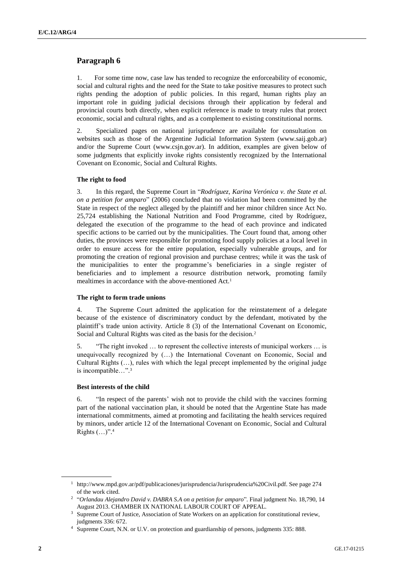# **Paragraph 6**

1. For some time now, case law has tended to recognize the enforceability of economic, social and cultural rights and the need for the State to take positive measures to protect such rights pending the adoption of public policies. In this regard, human rights play an important role in guiding judicial decisions through their application by federal and provincial courts both directly, when explicit reference is made to treaty rules that protect economic, social and cultural rights, and as a complement to existing constitutional norms.

2. Specialized pages on national jurisprudence are available for consultation on websites such as those of the Argentine Judicial Information System (www.saij.gob.ar) and/or the Supreme Court (www.csjn.gov.ar). In addition, examples are given below of some judgments that explicitly invoke rights consistently recognized by the International Covenant on Economic, Social and Cultural Rights.

# **The right to food**

3. In this regard, the Supreme Court in "*Rodríguez, Karina Verónica v. the State et al. on a petition for amparo*" (2006) concluded that no violation had been committed by the State in respect of the neglect alleged by the plaintiff and her minor children since Act No. 25,724 establishing the National Nutrition and Food Programme, cited by Rodríguez, delegated the execution of the programme to the head of each province and indicated specific actions to be carried out by the municipalities. The Court found that, among other duties, the provinces were responsible for promoting food supply policies at a local level in order to ensure access for the entire population, especially vulnerable groups, and for promoting the creation of regional provision and purchase centres; while it was the task of the municipalities to enter the programme's beneficiaries in a single register of beneficiaries and to implement a resource distribution network, promoting family mealtimes in accordance with the above-mentioned Act.<sup>1</sup>

# **The right to form trade unions**

4. The Supreme Court admitted the application for the reinstatement of a delegate because of the existence of discriminatory conduct by the defendant, motivated by the plaintiff's trade union activity. Article 8 (3) of the International Covenant on Economic, Social and Cultural Rights was cited as the basis for the decision.<sup>2</sup>

5. "The right invoked … to represent the collective interests of municipal workers … is unequivocally recognized by (…) the International Covenant on Economic, Social and Cultural Rights (…), rules with which the legal precept implemented by the original judge is incompatible…". 3

# **Best interests of the child**

6. "In respect of the parents' wish not to provide the child with the vaccines forming part of the national vaccination plan, it should be noted that the Argentine State has made international commitments, aimed at promoting and facilitating the health services required by minors, under article 12 of the International Covenant on Economic, Social and Cultural Rights (…)". 4

<sup>1</sup> http://www.mpd.gov.ar/pdf/publicaciones/jurisprudencia/Jurisprudencia%20Civil.pdf. See page 274 of the work cited.

<sup>2</sup> "*Orlandau Alejandro David v. DABRA S.A on a petition for amparo*". Final judgment No. 18,790, 14 August 2013. CHAMBER IX NATIONAL LABOUR COURT OF APPEAL.

<sup>&</sup>lt;sup>3</sup> Supreme Court of Justice, Association of State Workers on an application for constitutional review, judgments 336: 672.

<sup>4</sup> Supreme Court, N.N. or U.V. on protection and guardianship of persons, judgments 335: 888.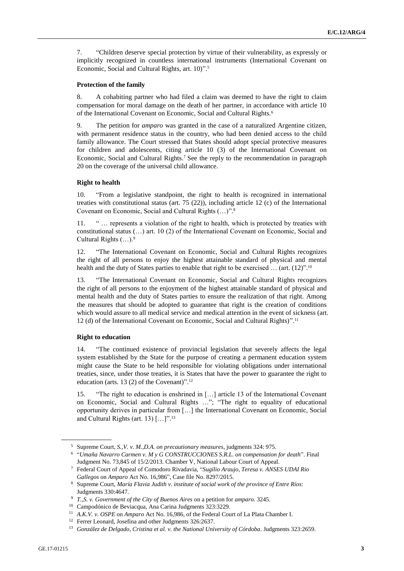7. "Children deserve special protection by virtue of their vulnerability, as expressly or implicitly recognized in countless international instruments (International Covenant on Economic, Social and Cultural Rights, art. 10)". 5

## **Protection of the family**

8. A cohabiting partner who had filed a claim was deemed to have the right to claim compensation for moral damage on the death of her partner, in accordance with article 10 of the International Covenant on Economic, Social and Cultural Rights.<sup>6</sup>

9. The petition for *amparo* was granted in the case of a naturalized Argentine citizen, with permanent residence status in the country, who had been denied access to the child family allowance. The Court stressed that States should adopt special protective measures for children and adolescents, citing article 10 (3) of the International Covenant on Economic, Social and Cultural Rights.<sup>7</sup> See the reply to the recommendation in paragraph 20 on the coverage of the universal child allowance.

### **Right to health**

10. "From a legislative standpoint, the right to health is recognized in international treaties with constitutional status (art. 75 (22)), including article 12 (c) of the International Covenant on Economic, Social and Cultural Rights (…)". 8

11. " … represents a violation of the right to health, which is protected by treaties with constitutional status (…) art. 10 (2) of the International Covenant on Economic, Social and Cultural Rights (…).<sup>9</sup>

12. "The International Covenant on Economic, Social and Cultural Rights recognizes the right of all persons to enjoy the highest attainable standard of physical and mental health and the duty of States parties to enable that right to be exercised ... (art. (12)".<sup>10</sup>

13. "The International Covenant on Economic, Social and Cultural Rights recognizes the right of all persons to the enjoyment of the highest attainable standard of physical and mental health and the duty of States parties to ensure the realization of that right. Among the measures that should be adopted to guarantee that right is the creation of conditions which would assure to all medical service and medical attention in the event of sickness (art. 12 (d) of the International Covenant on Economic, Social and Cultural Rights)". 11

# **Right to education**

14. "The continued existence of provincial legislation that severely affects the legal system established by the State for the purpose of creating a permanent education system might cause the State to be held responsible for violating obligations under international treaties, since, under those treaties, it is States that have the power to guarantee the right to education (arts. 13 (2) of the Covenant)". 12

15. "The right to education is enshrined in […] article 13 of the International Covenant on Economic, Social and Cultural Rights …"; "The right to equality of educational opportunity derives in particular from […] the International Covenant on Economic, Social and Cultural Rights (art. 13) […]". 13

<sup>5</sup> Supreme Court, *S.,V. v. M.,D.A. on precautionary measures*, judgments 324: 975.

<sup>6</sup> "*Umaña Navarro Carmen v. M y G CONSTRUCCIONES S.R.L. on compensation for death*". Final Judgment No. 73,845 of 15/2/2013. Chamber V, National Labour Court of Appeal.

<sup>7</sup> Federal Court of Appeal of Comodoro Rivadavia, "*Sugilio Araujo, Teresa v. ANSES UDAI Rio Gallegos* on *Amparo* Act No. 16,986", Case file No. 8297/2015.

<sup>8</sup> Supreme Court, *María Flavia Judith v. institute of social work of the province of Entre Ríos*: Judgments 330:4647.

<sup>9</sup> *T.,S. v. Government of the City of Buenos Aires* on a petition for *amparo*. 3245.

<sup>10</sup> Campodónico de Beviacqua, Ana Carina Judgments 323:3229.

<sup>11</sup> *A.K.V. v. OSPE* on *Amparo* Act No. 16,986, of the Federal Court of La Plata Chamber I.

<sup>12</sup> Ferrer Leonard, Josefina and other Judgments 326:2637.

<sup>&</sup>lt;sup>13</sup> González de Delgado, Cristina et al. v. the National University of Córdoba. Judgments 323:2659.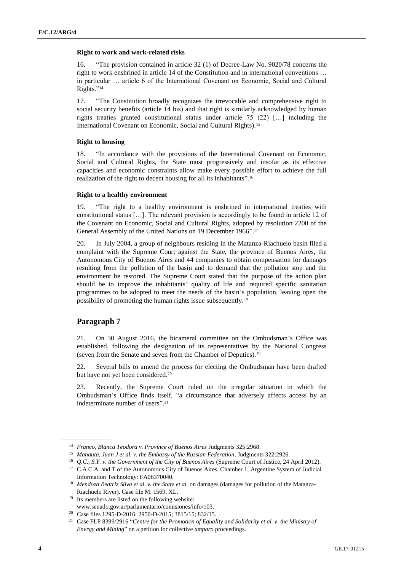## **Right to work and work-related risks**

16. "The provision contained in article 32 (1) of Decree-Law No. 9020/78 concerns the right to work enshrined in article 14 of the Constitution and in international conventions … in particular … article 6 of the International Covenant on Economic, Social and Cultural Rights." 14

17. "The Constitution broadly recognizes the irrevocable and comprehensive right to social security benefits (article 14 bis) and that right is similarly acknowledged by human rights treaties granted constitutional status under article 75 (22) […] including the International Covenant on Economic, Social and Cultural Rights).<sup>15</sup>

# **Right to housing**

18. "In accordance with the provisions of the International Covenant on Economic, Social and Cultural Rights, the State must progressively and insofar as its effective capacities and economic constraints allow make every possible effort to achieve the full realization of the right to decent housing for all its inhabitants".<sup>16</sup>

# **Right to a healthy environment**

19. "The right to a healthy environment is enshrined in international treaties with constitutional status […]. The relevant provision is accordingly to be found in article 12 of the Covenant on Economic, Social and Cultural Rights, adopted by resolution 2200 of the General Assembly of the United Nations on 19 December 1966". 17

20. In July 2004, a group of neighbours residing in the Matanza-Riachuelo basin filed a complaint with the Supreme Court against the State, the province of Buenos Aires, the Autonomous City of Buenos Aires and 44 companies to obtain compensation for damages resulting from the pollution of the basin and to demand that the pollution stop and the environment be restored. The Supreme Court stated that the purpose of the action plan should be to improve the inhabitants' quality of life and required specific sanitation programmes to be adopted to meet the needs of the basin's population, leaving open the possibility of promoting the human rights issue subsequently.<sup>18</sup>

# **Paragraph 7**

21. On 30 August 2016, the bicameral committee on the Ombudsman's Office was established, following the designation of its representatives by the National Congress (seven from the Senate and seven from the Chamber of Deputies).<sup>19</sup>

22. Several bills to amend the process for electing the Ombudsman have been drafted but have not yet been considered.<sup>20</sup>

23. Recently, the Supreme Court ruled on the irregular situation in which the Ombudsman's Office finds itself, "a circumstance that adversely affects access by an indeterminate number of users". 21

<sup>19</sup> Its members are listed on the following website: www.senado.gov.ar/parlamentario/comisiones/info/103.

<sup>14</sup> *Franco, Blanca Teodora v. Province of Buenos Aires* Judgments 325:2968.

<sup>15</sup> *Manauta, Juan J et al. v. the Embassy of the Russian Federation*. Judgments 322:2926.

<sup>16</sup> *Q.C., S.Y. v. the Government of the City of Buenos Aires* (Supreme Court of Justice, 24 April 2012). <sup>17</sup> C.A C.A. and T of the Autonomous City of Buenos Aires, Chamber 1, Argentine System of Judicial Information Technology: FA06370040.

<sup>18</sup> *Mendoza Beatriz Silva et al. v. the State et al.* on damages (damages for pollution of the Matanza-Riachuelo River). Case file M. 1569. XL.

<sup>20</sup> Case files 1295-D-2016: 2950-D-2015; 3815/15; 832/15.

<sup>21</sup> Case FLP 8399/2916 "*Centre for the Promotion of Equality and Solidarity et al. v. the Ministry of Energy and Mining*" on a petition for collective *amparo* proceedings.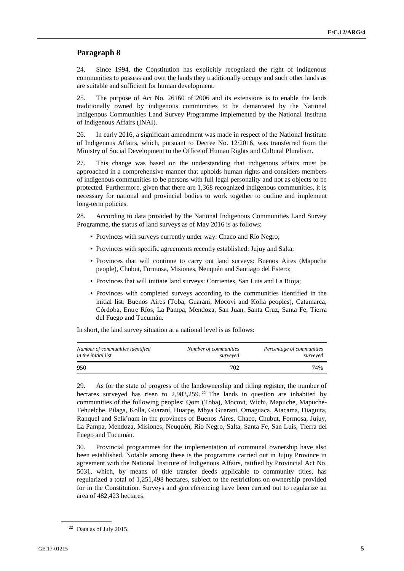# **Paragraph 8**

24. Since 1994, the Constitution has explicitly recognized the right of indigenous communities to possess and own the lands they traditionally occupy and such other lands as are suitable and sufficient for human development.

25. The purpose of Act No. 26160 of 2006 and its extensions is to enable the lands traditionally owned by indigenous communities to be demarcated by the National Indigenous Communities Land Survey Programme implemented by the National Institute of Indigenous Affairs (INAI).

26. In early 2016, a significant amendment was made in respect of the National Institute of Indigenous Affairs, which, pursuant to Decree No. 12/2016, was transferred from the Ministry of Social Development to the Office of Human Rights and Cultural Pluralism.

27. This change was based on the understanding that indigenous affairs must be approached in a comprehensive manner that upholds human rights and considers members of indigenous communities to be persons with full legal personality and not as objects to be protected. Furthermore, given that there are 1,368 recognized indigenous communities, it is necessary for national and provincial bodies to work together to outline and implement long-term policies.

28. According to data provided by the National Indigenous Communities Land Survey Programme, the status of land surveys as of May 2016 is as follows:

- Provinces with surveys currently under way: Chaco and Río Negro;
- Provinces with specific agreements recently established: Jujuy and Salta;
- Provinces that will continue to carry out land surveys: Buenos Aires (Mapuche people), Chubut, Formosa, Misiones, Neuquén and Santiago del Estero;
- Provinces that will initiate land surveys: Corrientes, San Luis and La Rioja;
- Provinces with completed surveys according to the communities identified in the initial list: Buenos Aires (Toba, Guarani, Mocovi and Kolla peoples), Catamarca, Córdoba, Entre Ríos, La Pampa, Mendoza, San Juan, Santa Cruz, Santa Fe, Tierra del Fuego and Tucumán.

In short, the land survey situation at a national level is as follows:

| Number of communities identified | Number of communities | Percentage of communities |
|----------------------------------|-----------------------|---------------------------|
| in the initial list              | surveyed              | surveyed                  |
| 950                              | 702                   | 74%                       |

29. As for the state of progress of the landownership and titling register, the number of hectares surveyed has risen to 2,983,259.<sup>22</sup> The lands in question are inhabited by communities of the following peoples: Qom (Toba), Mocovi, Wichi, Mapuche, Mapuche-Tehuelche, Pilaga, Kolla, Guaraní, Huarpe, Mbya Guarani, Omaguaca, Atacama, Diaguita, Ranquel and Selk'nam in the provinces of Buenos Aires, Chaco, Chubut, Formosa, Jujuy, La Pampa, Mendoza, Misiones, Neuquén, Río Negro, Salta, Santa Fe, San Luis, Tierra del Fuego and Tucumán.

30. Provincial programmes for the implementation of communal ownership have also been established. Notable among these is the programme carried out in Jujuy Province in agreement with the National Institute of Indigenous Affairs, ratified by Provincial Act No. 5031, which, by means of title transfer deeds applicable to community titles, has regularized a total of 1,251,498 hectares, subject to the restrictions on ownership provided for in the Constitution. Surveys and georeferencing have been carried out to regularize an area of 482,423 hectares.

 $22$  Data as of July 2015.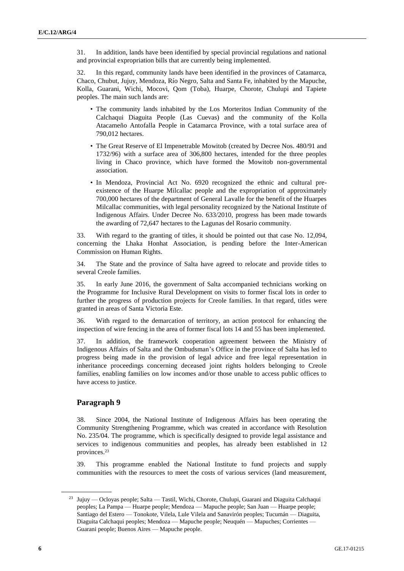31. In addition, lands have been identified by special provincial regulations and national and provincial expropriation bills that are currently being implemented.

32. In this regard, community lands have been identified in the provinces of Catamarca, Chaco, Chubut, Jujuy, Mendoza, Río Negro, Salta and Santa Fe, inhabited by the Mapuche, Kolla, Guarani, Wichi, Mocovi, Qom (Toba), Huarpe, Chorote, Chulupi and Tapiete peoples. The main such lands are:

- The community lands inhabited by the Los Morteritos Indian Community of the Calchaqui Diaguita People (Las Cuevas) and the community of the Kolla Atacameño Antofalla People in Catamarca Province, with a total surface area of 790,012 hectares.
- The Great Reserve of El Impenetrable Mowitob (created by Decree Nos. 480/91 and 1732/96) with a surface area of 306,800 hectares, intended for the three peoples living in Chaco province, which have formed the Mowitob non-governmental association.
- In Mendoza, Provincial Act No. 6920 recognized the ethnic and cultural preexistence of the Huarpe Milcallac people and the expropriation of approximately 700,000 hectares of the department of General Lavalle for the benefit of the Huarpes Milcallac communities, with legal personality recognized by the National Institute of Indigenous Affairs. Under Decree No. 633/2010, progress has been made towards the awarding of 72,647 hectares to the Lagunas del Rosario community.

33. With regard to the granting of titles, it should be pointed out that case No. 12,094, concerning the Lhaka Honhat Association, is pending before the Inter-American Commission on Human Rights.

34. The State and the province of Salta have agreed to relocate and provide titles to several Creole families.

35. In early June 2016, the government of Salta accompanied technicians working on the Programme for Inclusive Rural Development on visits to former fiscal lots in order to further the progress of production projects for Creole families. In that regard, titles were granted in areas of Santa Victoria Este.

36. With regard to the demarcation of territory, an action protocol for enhancing the inspection of wire fencing in the area of former fiscal lots 14 and 55 has been implemented.

37. In addition, the framework cooperation agreement between the Ministry of Indigenous Affairs of Salta and the Ombudsman's Office in the province of Salta has led to progress being made in the provision of legal advice and free legal representation in inheritance proceedings concerning deceased joint rights holders belonging to Creole families, enabling families on low incomes and/or those unable to access public offices to have access to justice.

# **Paragraph 9**

38. Since 2004, the National Institute of Indigenous Affairs has been operating the Community Strengthening Programme, which was created in accordance with Resolution No. 235/04. The programme, which is specifically designed to provide legal assistance and services to indigenous communities and peoples, has already been established in 12 provinces.<sup>23</sup>

39. This programme enabled the National Institute to fund projects and supply communities with the resources to meet the costs of various services (land measurement,

<sup>&</sup>lt;sup>23</sup> Jujuy — Ocloyas people; Salta — Tastil, Wichi, Chorote, Chulupi, Guarani and Diaguita Calchaqui peoples; La Pampa — Huarpe people; Mendoza — Mapuche people; San Juan — Huarpe people; Santiago del Estero — Tonokote, Vilela, Lule Vilela and Sanavirón peoples; Tucumán — Diaguita, Diaguita Calchaqui peoples; Mendoza — Mapuche people; Neuquén — Mapuches; Corrientes — Guarani people; Buenos Aires — Mapuche people.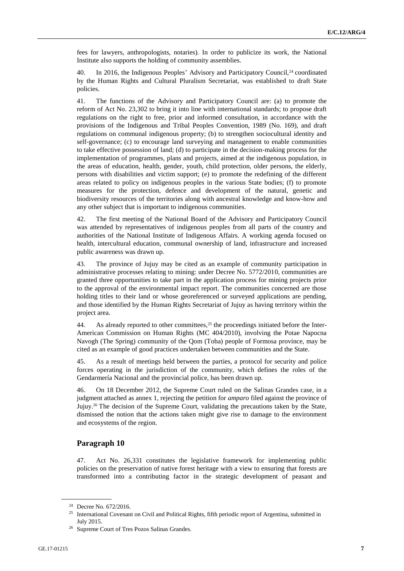fees for lawyers, anthropologists, notaries). In order to publicize its work, the National Institute also supports the holding of community assemblies.

40. In 2016, the Indigenous Peoples' Advisory and Participatory Council,<sup>24</sup> coordinated by the Human Rights and Cultural Pluralism Secretariat, was established to draft State policies.

41. The functions of the Advisory and Participatory Council are: (a) to promote the reform of Act No. 23,302 to bring it into line with international standards; to propose draft regulations on the right to free, prior and informed consultation, in accordance with the provisions of the Indigenous and Tribal Peoples Convention, 1989 (No. 169), and draft regulations on communal indigenous property; (b) to strengthen sociocultural identity and self-governance; (c) to encourage land surveying and management to enable communities to take effective possession of land; (d) to participate in the decision-making process for the implementation of programmes, plans and projects, aimed at the indigenous population, in the areas of education, health, gender, youth, child protection, older persons, the elderly, persons with disabilities and victim support; (e) to promote the redefining of the different areas related to policy on indigenous peoples in the various State bodies; (f) to promote measures for the protection, defence and development of the natural, genetic and biodiversity resources of the territories along with ancestral knowledge and know-how and any other subject that is important to indigenous communities.

42. The first meeting of the National Board of the Advisory and Participatory Council was attended by representatives of indigenous peoples from all parts of the country and authorities of the National Institute of Indigenous Affairs. A working agenda focused on health, intercultural education, communal ownership of land, infrastructure and increased public awareness was drawn up.

43. The province of Jujuy may be cited as an example of community participation in administrative processes relating to mining: under Decree No. 5772/2010, communities are granted three opportunities to take part in the application process for mining projects prior to the approval of the environmental impact report. The communities concerned are those holding titles to their land or whose georeferenced or surveyed applications are pending, and those identified by the Human Rights Secretariat of Jujuy as having territory within the project area.

44. As already reported to other committees,<sup>25</sup> the proceedings initiated before the Inter-American Commission on Human Rights (MC 404/2010), involving the Potae Napocna Navogh (The Spring) community of the Qom (Toba) people of Formosa province, may be cited as an example of good practices undertaken between communities and the State.

45. As a result of meetings held between the parties, a protocol for security and police forces operating in the jurisdiction of the community, which defines the roles of the Gendarmería Nacional and the provincial police, has been drawn up.

46. On 18 December 2012, the Supreme Court ruled on the Salinas Grandes case, in a judgment attached as annex 1, rejecting the petition for *amparo* filed against the province of Jujuy.<sup>26</sup> The decision of the Supreme Court, validating the precautions taken by the State, dismissed the notion that the actions taken might give rise to damage to the environment and ecosystems of the region.

# **Paragraph 10**

47. Act No. 26,331 constitutes the legislative framework for implementing public policies on the preservation of native forest heritage with a view to ensuring that forests are transformed into a contributing factor in the strategic development of peasant and

<sup>24</sup> Decree No. 672/2016.

<sup>&</sup>lt;sup>25</sup> International Covenant on Civil and Political Rights, fifth periodic report of Argentina, submitted in July 2015.

<sup>26</sup> Supreme Court of Tres Pozos Salinas Grandes.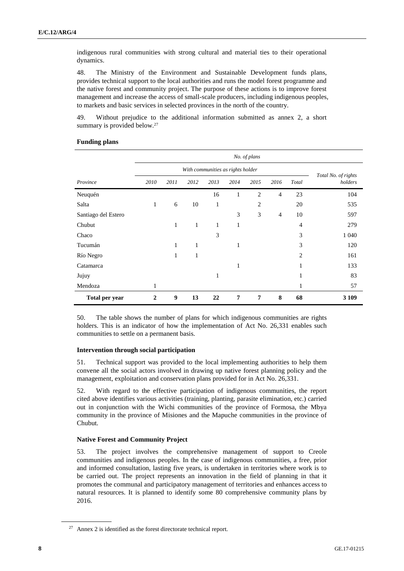indigenous rural communities with strong cultural and material ties to their operational dynamics.

48. The Ministry of the Environment and Sustainable Development funds plans, provides technical support to the local authorities and runs the model forest programme and the native forest and community project. The purpose of these actions is to improve forest management and increase the access of small-scale producers, including indigenous peoples, to markets and basic services in selected provinces in the north of the country.

49. Without prejudice to the additional information submitted as annex 2, a short summary is provided below.<sup>27</sup>

|                     | No. of plans |      |              |              |                                   |      |                |       |                                |
|---------------------|--------------|------|--------------|--------------|-----------------------------------|------|----------------|-------|--------------------------------|
|                     |              |      |              |              | With communities as rights holder |      |                |       |                                |
| Province            | 2010         | 2011 | 2012         | 2013         | 2014                              | 2015 | 2016           | Total | Total No. of rights<br>holders |
| Neuquén             |              |      |              | 16           | $\mathbf{1}$                      | 2    | $\overline{4}$ | 23    | 104                            |
| Salta               | $\mathbf{1}$ | 6    | 10           | 1            |                                   | 2    |                | 20    | 535                            |
| Santiago del Estero |              |      |              |              | 3                                 | 3    | $\overline{4}$ | 10    | 597                            |
| Chubut              |              | 1    | $\mathbf{1}$ | $\mathbf{1}$ | 1                                 |      |                | 4     | 279                            |
| Chaco               |              |      |              | 3            |                                   |      |                | 3     | 1 0 4 0                        |
| Tucumán             |              | 1    | 1            |              | 1                                 |      |                | 3     | 120                            |
| Río Negro           |              | 1    | 1            |              |                                   |      |                | 2     | 161                            |
| Catamarca           |              |      |              |              | 1                                 |      |                | 1     | 133                            |
| Jujuy               |              |      |              | 1            |                                   |      |                | 1     | 83                             |
| Mendoza             | 1            |      |              |              |                                   |      |                | 1     | 57                             |
| Total per year      | 2            | 9    | 13           | 22           | 7                                 | 7    | 8              | 68    | 3 1 0 9                        |

# **Funding plans**

50. The table shows the number of plans for which indigenous communities are rights holders. This is an indicator of how the implementation of Act No. 26,331 enables such communities to settle on a permanent basis.

#### **Intervention through social participation**

51. Technical support was provided to the local implementing authorities to help them convene all the social actors involved in drawing up native forest planning policy and the management, exploitation and conservation plans provided for in Act No. 26,331.

52. With regard to the effective participation of indigenous communities, the report cited above identifies various activities (training, planting, parasite elimination, etc.) carried out in conjunction with the Wichi communities of the province of Formosa, the Mbya community in the province of Misiones and the Mapuche communities in the province of Chubut.

# **Native Forest and Community Project**

53. The project involves the comprehensive management of support to Creole communities and indigenous peoples. In the case of indigenous communities, a free, prior and informed consultation, lasting five years, is undertaken in territories where work is to be carried out. The project represents an innovation in the field of planning in that it promotes the communal and participatory management of territories and enhances access to natural resources. It is planned to identify some 80 comprehensive community plans by 2016.

 $27$  Annex 2 is identified as the forest directorate technical report.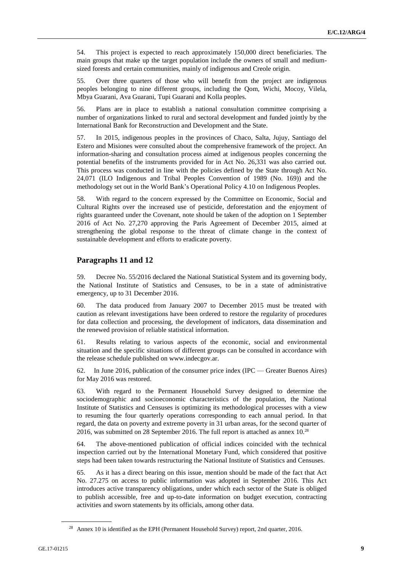54. This project is expected to reach approximately 150,000 direct beneficiaries. The main groups that make up the target population include the owners of small and mediumsized forests and certain communities, mainly of indigenous and Creole origin.

55. Over three quarters of those who will benefit from the project are indigenous peoples belonging to nine different groups, including the Qom, Wichi, Mocoy, Vilela, Mbya Guarani, Ava Guarani, Tupi Guarani and Kolla peoples.

56. Plans are in place to establish a national consultation committee comprising a number of organizations linked to rural and sectoral development and funded jointly by the International Bank for Reconstruction and Development and the State.

57. In 2015, indigenous peoples in the provinces of Chaco, Salta, Jujuy, Santiago del Estero and Misiones were consulted about the comprehensive framework of the project. An information-sharing and consultation process aimed at indigenous peoples concerning the potential benefits of the instruments provided for in Act No. 26,331 was also carried out. This process was conducted in line with the policies defined by the State through Act No. 24,071 (ILO Indigenous and Tribal Peoples Convention of 1989 (No. 169)) and the methodology set out in the World Bank's Operational Policy 4.10 on Indigenous Peoples.

58. With regard to the concern expressed by the Committee on Economic, Social and Cultural Rights over the increased use of pesticide, deforestation and the enjoyment of rights guaranteed under the Covenant, note should be taken of the adoption on 1 September 2016 of Act No. 27,270 approving the Paris Agreement of December 2015, aimed at strengthening the global response to the threat of climate change in the context of sustainable development and efforts to eradicate poverty.

# **Paragraphs 11 and 12**

59. Decree No. 55/2016 declared the National Statistical System and its governing body, the National Institute of Statistics and Censuses, to be in a state of administrative emergency, up to 31 December 2016.

60. The data produced from January 2007 to December 2015 must be treated with caution as relevant investigations have been ordered to restore the regularity of procedures for data collection and processing, the development of indicators, data dissemination and the renewed provision of reliable statistical information.

61. Results relating to various aspects of the economic, social and environmental situation and the specific situations of different groups can be consulted in accordance with the release schedule published on www.indecgov.ar.

62. In June 2016, publication of the consumer price index (IPC — Greater Buenos Aires) for May 2016 was restored.

63. With regard to the Permanent Household Survey designed to determine the sociodemographic and socioeconomic characteristics of the population, the National Institute of Statistics and Censuses is optimizing its methodological processes with a view to resuming the four quarterly operations corresponding to each annual period. In that regard, the data on poverty and extreme poverty in 31 urban areas, for the second quarter of 2016, was submitted on 28 September 2016. The full report is attached as annex 10.<sup>28</sup>

64. The above-mentioned publication of official indices coincided with the technical inspection carried out by the International Monetary Fund, which considered that positive steps had been taken towards restructuring the National Institute of Statistics and Censuses.

65. As it has a direct bearing on this issue, mention should be made of the fact that Act No. 27.275 on access to public information was adopted in September 2016. This Act introduces active transparency obligations, under which each sector of the State is obliged to publish accessible, free and up-to-date information on budget execution, contracting activities and sworn statements by its officials, among other data.

<sup>&</sup>lt;sup>28</sup> Annex 10 is identified as the EPH (Permanent Household Survey) report, 2nd quarter, 2016.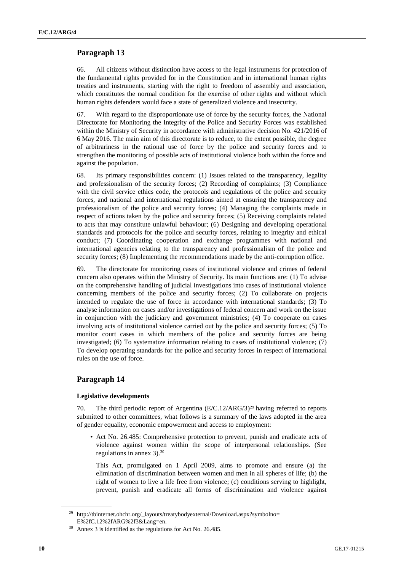# **Paragraph 13**

66. All citizens without distinction have access to the legal instruments for protection of the fundamental rights provided for in the Constitution and in international human rights treaties and instruments, starting with the right to freedom of assembly and association, which constitutes the normal condition for the exercise of other rights and without which human rights defenders would face a state of generalized violence and insecurity.

67. With regard to the disproportionate use of force by the security forces, the National Directorate for Monitoring the Integrity of the Police and Security Forces was established within the Ministry of Security in accordance with administrative decision No. 421/2016 of 6 May 2016. The main aim of this directorate is to reduce, to the extent possible, the degree of arbitrariness in the rational use of force by the police and security forces and to strengthen the monitoring of possible acts of institutional violence both within the force and against the population.

68. Its primary responsibilities concern: (1) Issues related to the transparency, legality and professionalism of the security forces; (2) Recording of complaints; (3) Compliance with the civil service ethics code, the protocols and regulations of the police and security forces, and national and international regulations aimed at ensuring the transparency and professionalism of the police and security forces; (4) Managing the complaints made in respect of actions taken by the police and security forces; (5) Receiving complaints related to acts that may constitute unlawful behaviour; (6) Designing and developing operational standards and protocols for the police and security forces, relating to integrity and ethical conduct; (7) Coordinating cooperation and exchange programmes with national and international agencies relating to the transparency and professionalism of the police and security forces; (8) Implementing the recommendations made by the anti-corruption office.

69. The directorate for monitoring cases of institutional violence and crimes of federal concern also operates within the Ministry of Security. Its main functions are: (1) To advise on the comprehensive handling of judicial investigations into cases of institutional violence concerning members of the police and security forces; (2) To collaborate on projects intended to regulate the use of force in accordance with international standards; (3) To analyse information on cases and/or investigations of federal concern and work on the issue in conjunction with the judiciary and government ministries; (4) To cooperate on cases involving acts of institutional violence carried out by the police and security forces; (5) To monitor court cases in which members of the police and security forces are being investigated; (6) To systematize information relating to cases of institutional violence; (7) To develop operating standards for the police and security forces in respect of international rules on the use of force.

# **Paragraph 14**

# **Legislative developments**

70. The third periodic report of Argentina  $(E/C.12/ARG/3)^{29}$  having referred to reports submitted to other committees, what follows is a summary of the laws adopted in the area of gender equality, economic empowerment and access to employment:

• Act No. 26.485: Comprehensive protection to prevent, punish and eradicate acts of violence against women within the scope of interpersonal relationships. (See regulations in annex 3).<sup>30</sup>

This Act, promulgated on 1 April 2009, aims to promote and ensure (a) the elimination of discrimination between women and men in all spheres of life; (b) the right of women to live a life free from violence; (c) conditions serving to highlight, prevent, punish and eradicate all forms of discrimination and violence against

<sup>&</sup>lt;sup>29</sup> http://tbinternet.ohchr.org/\_layouts/treatybodyexternal/Download.aspx?symbolno= E%2fC.12%2fARG%2f3&Lang=en.

<sup>30</sup> Annex 3 is identified as the regulations for Act No. 26.485.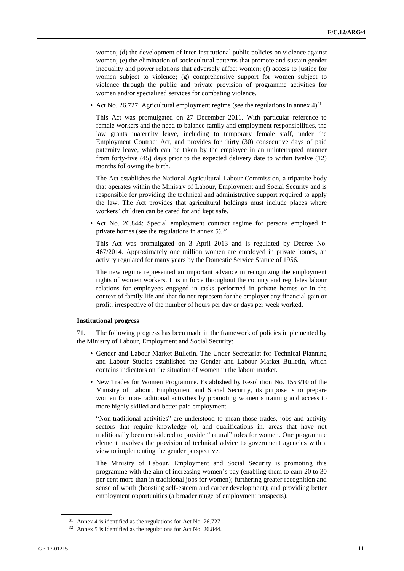women; (d) the development of inter-institutional public policies on violence against women; (e) the elimination of sociocultural patterns that promote and sustain gender inequality and power relations that adversely affect women; (f) access to justice for women subject to violence; (g) comprehensive support for women subject to violence through the public and private provision of programme activities for women and/or specialized services for combating violence.

• Act No. 26.727: Agricultural employment regime (see the regulations in annex  $4$ )<sup>31</sup>

This Act was promulgated on 27 December 2011. With particular reference to female workers and the need to balance family and employment responsibilities, the law grants maternity leave, including to temporary female staff, under the Employment Contract Act, and provides for thirty (30) consecutive days of paid paternity leave, which can be taken by the employee in an uninterrupted manner from forty-five (45) days prior to the expected delivery date to within twelve (12) months following the birth.

The Act establishes the National Agricultural Labour Commission, a tripartite body that operates within the Ministry of Labour, Employment and Social Security and is responsible for providing the technical and administrative support required to apply the law. The Act provides that agricultural holdings must include places where workers' children can be cared for and kept safe.

• Act No. 26.844: Special employment contract regime for persons employed in private homes (see the regulations in annex  $5$ ).<sup>32</sup>

This Act was promulgated on 3 April 2013 and is regulated by Decree No. 467/2014. Approximately one million women are employed in private homes, an activity regulated for many years by the Domestic Service Statute of 1956.

The new regime represented an important advance in recognizing the employment rights of women workers. It is in force throughout the country and regulates labour relations for employees engaged in tasks performed in private homes or in the context of family life and that do not represent for the employer any financial gain or profit, irrespective of the number of hours per day or days per week worked.

#### **Institutional progress**

71. The following progress has been made in the framework of policies implemented by the Ministry of Labour, Employment and Social Security:

- Gender and Labour Market Bulletin. The Under-Secretariat for Technical Planning and Labour Studies established the Gender and Labour Market Bulletin, which contains indicators on the situation of women in the labour market.
- New Trades for Women Programme. Established by Resolution No. 1553/10 of the Ministry of Labour, Employment and Social Security, its purpose is to prepare women for non-traditional activities by promoting women's training and access to more highly skilled and better paid employment.

"Non-traditional activities" are understood to mean those trades, jobs and activity sectors that require knowledge of, and qualifications in, areas that have not traditionally been considered to provide "natural" roles for women. One programme element involves the provision of technical advice to government agencies with a view to implementing the gender perspective.

The Ministry of Labour, Employment and Social Security is promoting this programme with the aim of increasing women's pay (enabling them to earn 20 to 30 per cent more than in traditional jobs for women); furthering greater recognition and sense of worth (boosting self-esteem and career development); and providing better employment opportunities (a broader range of employment prospects).

<sup>31</sup> Annex 4 is identified as the regulations for Act No. 26.727.

<sup>32</sup> Annex 5 is identified as the regulations for Act No. 26.844.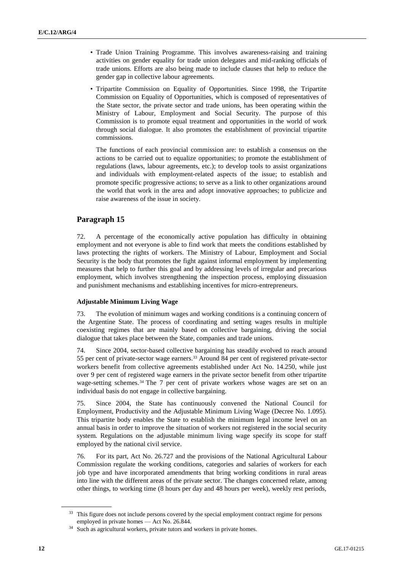- Trade Union Training Programme. This involves awareness-raising and training activities on gender equality for trade union delegates and mid-ranking officials of trade unions. Efforts are also being made to include clauses that help to reduce the gender gap in collective labour agreements.
- Tripartite Commission on Equality of Opportunities. Since 1998, the Tripartite Commission on Equality of Opportunities, which is composed of representatives of the State sector, the private sector and trade unions, has been operating within the Ministry of Labour, Employment and Social Security. The purpose of this Commission is to promote equal treatment and opportunities in the world of work through social dialogue. It also promotes the establishment of provincial tripartite commissions.

The functions of each provincial commission are: to establish a consensus on the actions to be carried out to equalize opportunities; to promote the establishment of regulations (laws, labour agreements, etc.); to develop tools to assist organizations and individuals with employment-related aspects of the issue; to establish and promote specific progressive actions; to serve as a link to other organizations around the world that work in the area and adopt innovative approaches; to publicize and raise awareness of the issue in society.

# **Paragraph 15**

72. A percentage of the economically active population has difficulty in obtaining employment and not everyone is able to find work that meets the conditions established by laws protecting the rights of workers. The Ministry of Labour, Employment and Social Security is the body that promotes the fight against informal employment by implementing measures that help to further this goal and by addressing levels of irregular and precarious employment, which involves strengthening the inspection process, employing dissuasion and punishment mechanisms and establishing incentives for micro-entrepreneurs.

# **Adjustable Minimum Living Wage**

73. The evolution of minimum wages and working conditions is a continuing concern of the Argentine State. The process of coordinating and setting wages results in multiple coexisting regimes that are mainly based on collective bargaining, driving the social dialogue that takes place between the State, companies and trade unions.

74. Since 2004, sector-based collective bargaining has steadily evolved to reach around 55 per cent of private-sector wage earners.<sup>33</sup> Around 84 per cent of registered private-sector workers benefit from collective agreements established under Act No. 14.250, while just over 9 per cent of registered wage earners in the private sector benefit from other tripartite wage-setting schemes.<sup>34</sup> The 7 per cent of private workers whose wages are set on an individual basis do not engage in collective bargaining.

75. Since 2004, the State has continuously convened the National Council for Employment, Productivity and the Adjustable Minimum Living Wage (Decree No. 1.095). This tripartite body enables the State to establish the minimum legal income level on an annual basis in order to improve the situation of workers not registered in the social security system. Regulations on the adjustable minimum living wage specify its scope for staff employed by the national civil service.

76. For its part, Act No. 26.727 and the provisions of the National Agricultural Labour Commission regulate the working conditions, categories and salaries of workers for each job type and have incorporated amendments that bring working conditions in rural areas into line with the different areas of the private sector. The changes concerned relate, among other things, to working time (8 hours per day and 48 hours per week), weekly rest periods,

<sup>&</sup>lt;sup>33</sup> This figure does not include persons covered by the special employment contract regime for persons employed in private homes — Act No. 26.844.

<sup>&</sup>lt;sup>34</sup> Such as agricultural workers, private tutors and workers in private homes.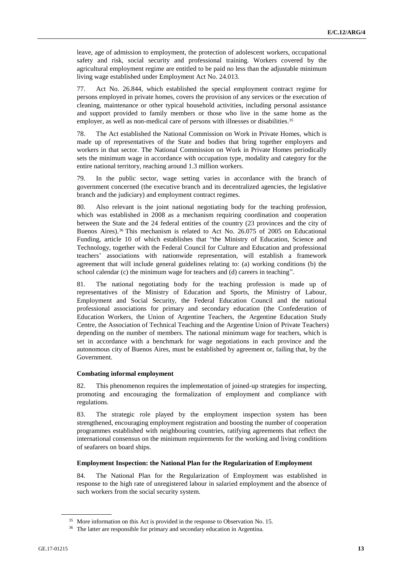leave, age of admission to employment, the protection of adolescent workers, occupational safety and risk, social security and professional training. Workers covered by the agricultural employment regime are entitled to be paid no less than the adjustable minimum living wage established under Employment Act No. 24.013.

77. Act No. 26.844, which established the special employment contract regime for persons employed in private homes, covers the provision of any services or the execution of cleaning, maintenance or other typical household activities, including personal assistance and support provided to family members or those who live in the same home as the employer, as well as non-medical care of persons with illnesses or disabilities.<sup>35</sup>

78. The Act established the National Commission on Work in Private Homes, which is made up of representatives of the State and bodies that bring together employers and workers in that sector. The National Commission on Work in Private Homes periodically sets the minimum wage in accordance with occupation type, modality and category for the entire national territory, reaching around 1.3 million workers.

79. In the public sector, wage setting varies in accordance with the branch of government concerned (the executive branch and its decentralized agencies, the legislative branch and the judiciary) and employment contract regimes.

80. Also relevant is the joint national negotiating body for the teaching profession, which was established in 2008 as a mechanism requiring coordination and cooperation between the State and the 24 federal entities of the country (23 provinces and the city of Buenos Aires).<sup>36</sup> This mechanism is related to Act No. 26.075 of 2005 on Educational Funding, article 10 of which establishes that "the Ministry of Education, Science and Technology, together with the Federal Council for Culture and Education and professional teachers' associations with nationwide representation, will establish a framework agreement that will include general guidelines relating to: (a) working conditions (b) the school calendar (c) the minimum wage for teachers and (d) careers in teaching".

81. The national negotiating body for the teaching profession is made up of representatives of the Ministry of Education and Sports, the Ministry of Labour, Employment and Social Security, the Federal Education Council and the national professional associations for primary and secondary education (the Confederation of Education Workers, the Union of Argentine Teachers, the Argentine Education Study Centre, the Association of Technical Teaching and the Argentine Union of Private Teachers) depending on the number of members. The national minimum wage for teachers, which is set in accordance with a benchmark for wage negotiations in each province and the autonomous city of Buenos Aires, must be established by agreement or, failing that, by the Government.

#### **Combating informal employment**

82. This phenomenon requires the implementation of joined-up strategies for inspecting, promoting and encouraging the formalization of employment and compliance with regulations.

83. The strategic role played by the employment inspection system has been strengthened, encouraging employment registration and boosting the number of cooperation programmes established with neighbouring countries, ratifying agreements that reflect the international consensus on the minimum requirements for the working and living conditions of seafarers on board ships.

# **Employment Inspection: the National Plan for the Regularization of Employment**

84. The National Plan for the Regularization of Employment was established in response to the high rate of unregistered labour in salaried employment and the absence of such workers from the social security system.

<sup>35</sup> More information on this Act is provided in the response to Observation No. 15.

<sup>&</sup>lt;sup>36</sup> The latter are responsible for primary and secondary education in Argentina.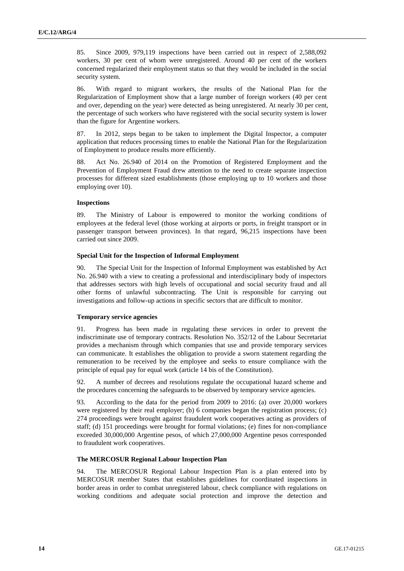85. Since 2009, 979,119 inspections have been carried out in respect of 2,588,092 workers, 30 per cent of whom were unregistered. Around 40 per cent of the workers concerned regularized their employment status so that they would be included in the social security system.

86. With regard to migrant workers, the results of the National Plan for the Regularization of Employment show that a large number of foreign workers (40 per cent and over, depending on the year) were detected as being unregistered. At nearly 30 per cent, the percentage of such workers who have registered with the social security system is lower than the figure for Argentine workers.

87. In 2012, steps began to be taken to implement the Digital Inspector, a computer application that reduces processing times to enable the National Plan for the Regularization of Employment to produce results more efficiently.

88. Act No. 26.940 of 2014 on the Promotion of Registered Employment and the Prevention of Employment Fraud drew attention to the need to create separate inspection processes for different sized establishments (those employing up to 10 workers and those employing over 10).

### **Inspections**

89. The Ministry of Labour is empowered to monitor the working conditions of employees at the federal level (those working at airports or ports, in freight transport or in passenger transport between provinces). In that regard, 96,215 inspections have been carried out since 2009.

### **Special Unit for the Inspection of Informal Employment**

90. The Special Unit for the Inspection of Informal Employment was established by Act No. 26.940 with a view to creating a professional and interdisciplinary body of inspectors that addresses sectors with high levels of occupational and social security fraud and all other forms of unlawful subcontracting. The Unit is responsible for carrying out investigations and follow-up actions in specific sectors that are difficult to monitor.

#### **Temporary service agencies**

91. Progress has been made in regulating these services in order to prevent the indiscriminate use of temporary contracts. Resolution No. 352/12 of the Labour Secretariat provides a mechanism through which companies that use and provide temporary services can communicate. It establishes the obligation to provide a sworn statement regarding the remuneration to be received by the employee and seeks to ensure compliance with the principle of equal pay for equal work (article 14 bis of the Constitution).

92. A number of decrees and resolutions regulate the occupational hazard scheme and the procedures concerning the safeguards to be observed by temporary service agencies.

93. According to the data for the period from 2009 to 2016: (a) over 20,000 workers were registered by their real employer; (b) 6 companies began the registration process; (c) 274 proceedings were brought against fraudulent work cooperatives acting as providers of staff; (d) 151 proceedings were brought for formal violations; (e) fines for non-compliance exceeded 30,000,000 Argentine pesos, of which 27,000,000 Argentine pesos corresponded to fraudulent work cooperatives.

#### **The MERCOSUR Regional Labour Inspection Plan**

94. The MERCOSUR Regional Labour Inspection Plan is a plan entered into by MERCOSUR member States that establishes guidelines for coordinated inspections in border areas in order to combat unregistered labour, check compliance with regulations on working conditions and adequate social protection and improve the detection and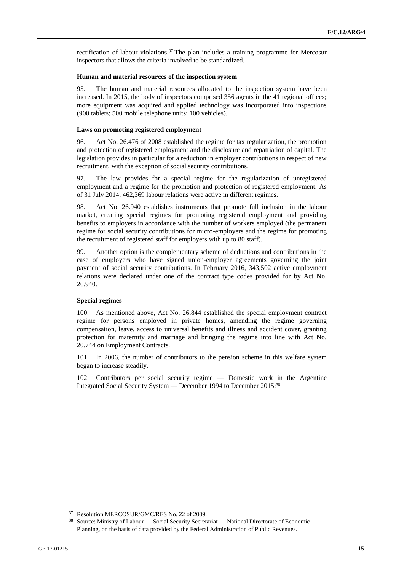rectification of labour violations.<sup>37</sup> The plan includes a training programme for Mercosur inspectors that allows the criteria involved to be standardized.

#### **Human and material resources of the inspection system**

95. The human and material resources allocated to the inspection system have been increased. In 2015, the body of inspectors comprised 356 agents in the 41 regional offices; more equipment was acquired and applied technology was incorporated into inspections (900 tablets; 500 mobile telephone units; 100 vehicles).

#### **Laws on promoting registered employment**

96. Act No. 26.476 of 2008 established the regime for tax regularization, the promotion and protection of registered employment and the disclosure and repatriation of capital. The legislation provides in particular for a reduction in employer contributions in respect of new recruitment, with the exception of social security contributions.

97. The law provides for a special regime for the regularization of unregistered employment and a regime for the promotion and protection of registered employment. As of 31 July 2014, 462,369 labour relations were active in different regimes.

98. Act No. 26.940 establishes instruments that promote full inclusion in the labour market, creating special regimes for promoting registered employment and providing benefits to employers in accordance with the number of workers employed (the permanent regime for social security contributions for micro-employers and the regime for promoting the recruitment of registered staff for employers with up to 80 staff).

99. Another option is the complementary scheme of deductions and contributions in the case of employers who have signed union-employer agreements governing the joint payment of social security contributions. In February 2016, 343,502 active employment relations were declared under one of the contract type codes provided for by Act No. 26.940.

#### **Special regimes**

100. As mentioned above, Act No. 26.844 established the special employment contract regime for persons employed in private homes, amending the regime governing compensation, leave, access to universal benefits and illness and accident cover, granting protection for maternity and marriage and bringing the regime into line with Act No. 20.744 on Employment Contracts.

101. In 2006, the number of contributors to the pension scheme in this welfare system began to increase steadily.

102. Contributors per social security regime — Domestic work in the Argentine Integrated Social Security System — December 1994 to December 2015:<sup>38</sup>

<sup>&</sup>lt;sup>37</sup> Resolution MERCOSUR/GMC/RES No. 22 of 2009.

<sup>38</sup> Source: Ministry of Labour — Social Security Secretariat — National Directorate of Economic Planning, on the basis of data provided by the Federal Administration of Public Revenues.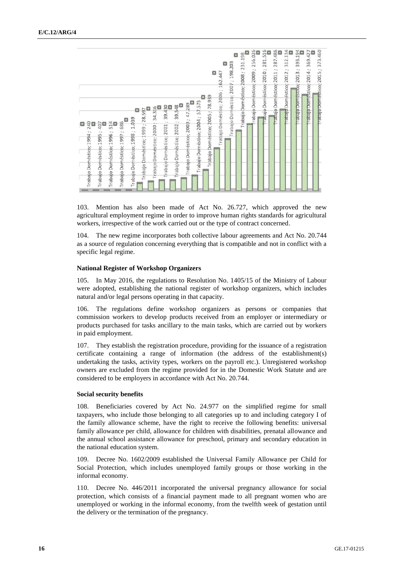

103. Mention has also been made of Act No. 26.727, which approved the new agricultural employment regime in order to improve human rights standards for agricultural workers, irrespective of the work carried out or the type of contract concerned.

104. The new regime incorporates both collective labour agreements and Act No. 20.744 as a source of regulation concerning everything that is compatible and not in conflict with a specific legal regime.

#### **National Register of Workshop Organizers**

105. In May 2016, the regulations to Resolution No. 1405/15 of the Ministry of Labour were adopted, establishing the national register of workshop organizers, which includes natural and/or legal persons operating in that capacity.

106. The regulations define workshop organizers as persons or companies that commission workers to develop products received from an employer or intermediary or products purchased for tasks ancillary to the main tasks, which are carried out by workers in paid employment.

107. They establish the registration procedure, providing for the issuance of a registration certificate containing a range of information (the address of the establishment(s) undertaking the tasks, activity types, workers on the payroll etc.). Unregistered workshop owners are excluded from the regime provided for in the Domestic Work Statute and are considered to be employers in accordance with Act No. 20.744.

#### **Social security benefits**

108. Beneficiaries covered by Act No. 24.977 on the simplified regime for small taxpayers, who include those belonging to all categories up to and including category I of the family allowance scheme, have the right to receive the following benefits: universal family allowance per child, allowance for children with disabilities, prenatal allowance and the annual school assistance allowance for preschool, primary and secondary education in the national education system.

109. Decree No. 1602/2009 established the Universal Family Allowance per Child for Social Protection, which includes unemployed family groups or those working in the informal economy.

110. Decree No. 446/2011 incorporated the universal pregnancy allowance for social protection, which consists of a financial payment made to all pregnant women who are unemployed or working in the informal economy, from the twelfth week of gestation until the delivery or the termination of the pregnancy.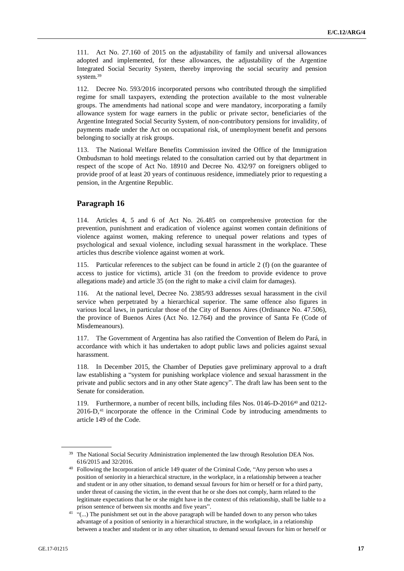111. Act No. 27.160 of 2015 on the adjustability of family and universal allowances adopted and implemented, for these allowances, the adjustability of the Argentine Integrated Social Security System, thereby improving the social security and pension system.<sup>39</sup>

112. Decree No. 593/2016 incorporated persons who contributed through the simplified regime for small taxpayers, extending the protection available to the most vulnerable groups. The amendments had national scope and were mandatory, incorporating a family allowance system for wage earners in the public or private sector, beneficiaries of the Argentine Integrated Social Security System, of non-contributory pensions for invalidity, of payments made under the Act on occupational risk, of unemployment benefit and persons belonging to socially at risk groups.

113. The National Welfare Benefits Commission invited the Office of the Immigration Ombudsman to hold meetings related to the consultation carried out by that department in respect of the scope of Act No. 18910 and Decree No. 432/97 on foreigners obliged to provide proof of at least 20 years of continuous residence, immediately prior to requesting a pension, in the Argentine Republic.

# **Paragraph 16**

114. Articles 4, 5 and 6 of Act No. 26.485 on comprehensive protection for the prevention, punishment and eradication of violence against women contain definitions of violence against women, making reference to unequal power relations and types of psychological and sexual violence, including sexual harassment in the workplace. These articles thus describe violence against women at work.

115. Particular references to the subject can be found in article 2 (f) (on the guarantee of access to justice for victims), article 31 (on the freedom to provide evidence to prove allegations made) and article 35 (on the right to make a civil claim for damages).

116. At the national level, Decree No. 2385/93 addresses sexual harassment in the civil service when perpetrated by a hierarchical superior. The same offence also figures in various local laws, in particular those of the City of Buenos Aires (Ordinance No. 47.506), the province of Buenos Aires (Act No. 12.764) and the province of Santa Fe (Code of Misdemeanours).

117. The Government of Argentina has also ratified the Convention of Belem do Pará, in accordance with which it has undertaken to adopt public laws and policies against sexual harassment.

118. In December 2015, the Chamber of Deputies gave preliminary approval to a draft law establishing a "system for punishing workplace violence and sexual harassment in the private and public sectors and in any other State agency". The draft law has been sent to the Senate for consideration.

119. Furthermore, a number of recent bills, including files Nos. 0146-D-2016<sup>40</sup> and 0212- 2016-D,<sup>41</sup> incorporate the offence in the Criminal Code by introducing amendments to article 149 of the Code.

<sup>&</sup>lt;sup>39</sup> The National Social Security Administration implemented the law through Resolution DEA Nos. 616/2015 and 32/2016.

<sup>&</sup>lt;sup>40</sup> Following the Incorporation of article 149 quater of the Criminal Code, "Any person who uses a position of seniority in a hierarchical structure, in the workplace, in a relationship between a teacher and student or in any other situation, to demand sexual favours for him or herself or for a third party, under threat of causing the victim, in the event that he or she does not comply, harm related to the legitimate expectations that he or she might have in the context of this relationship, shall be liable to a prison sentence of between six months and five years".

 $41$  "(...) The punishment set out in the above paragraph will be handed down to any person who takes advantage of a position of seniority in a hierarchical structure, in the workplace, in a relationship between a teacher and student or in any other situation, to demand sexual favours for him or herself or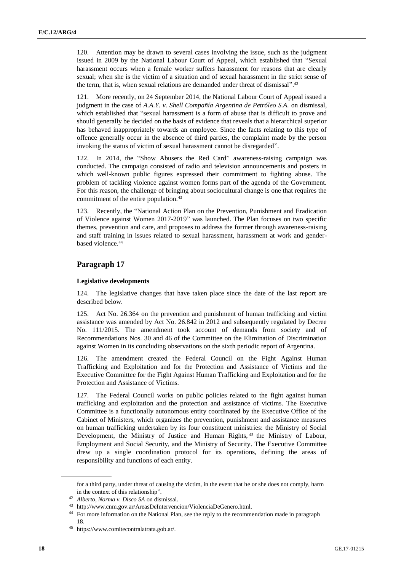120. Attention may be drawn to several cases involving the issue, such as the judgment issued in 2009 by the National Labour Court of Appeal, which established that "Sexual harassment occurs when a female worker suffers harassment for reasons that are clearly sexual; when she is the victim of a situation and of sexual harassment in the strict sense of the term, that is, when sexual relations are demanded under threat of dismissal".<sup>42</sup>

121. More recently, on 24 September 2014, the National Labour Court of Appeal issued a judgment in the case of *A.A.Y. v. Shell Compañía Argentina de Petróleo S.A.* on dismissal, which established that "sexual harassment is a form of abuse that is difficult to prove and should generally be decided on the basis of evidence that reveals that a hierarchical superior has behaved inappropriately towards an employee. Since the facts relating to this type of offence generally occur in the absence of third parties, the complaint made by the person invoking the status of victim of sexual harassment cannot be disregarded".

In 2014, the "Show Abusers the Red Card" awareness-raising campaign was conducted. The campaign consisted of radio and television announcements and posters in which well-known public figures expressed their commitment to fighting abuse. The problem of tackling violence against women forms part of the agenda of the Government. For this reason, the challenge of bringing about sociocultural change is one that requires the commitment of the entire population.<sup>43</sup>

123. Recently, the "National Action Plan on the Prevention, Punishment and Eradication of Violence against Women 2017-2019" was launched. The Plan focuses on two specific themes, prevention and care, and proposes to address the former through awareness-raising and staff training in issues related to sexual harassment, harassment at work and genderbased violence.<sup>44</sup>

# **Paragraph 17**

# **Legislative developments**

124. The legislative changes that have taken place since the date of the last report are described below.

125. Act No. 26.364 on the prevention and punishment of human trafficking and victim assistance was amended by Act No. 26.842 in 2012 and subsequently regulated by Decree No. 111/2015. The amendment took account of demands from society and of Recommendations Nos. 30 and 46 of the Committee on the Elimination of Discrimination against Women in its concluding observations on the sixth periodic report of Argentina.

126. The amendment created the Federal Council on the Fight Against Human Trafficking and Exploitation and for the Protection and Assistance of Victims and the Executive Committee for the Fight Against Human Trafficking and Exploitation and for the Protection and Assistance of Victims.

127. The Federal Council works on public policies related to the fight against human trafficking and exploitation and the protection and assistance of victims. The Executive Committee is a functionally autonomous entity coordinated by the Executive Office of the Cabinet of Ministers, which organizes the prevention, punishment and assistance measures on human trafficking undertaken by its four constituent ministries: the Ministry of Social Development, the Ministry of Justice and Human Rights, <sup>45</sup> the Ministry of Labour, Employment and Social Security, and the Ministry of Security. The Executive Committee drew up a single coordination protocol for its operations, defining the areas of responsibility and functions of each entity.

for a third party, under threat of causing the victim, in the event that he or she does not comply, harm in the context of this relationship".

<sup>42</sup> *Alberto, Norma v. Disco SA* on dismissal.

<sup>43</sup> http://www.cnm.gov.ar/AreasDeIntervencion/ViolenciaDeGenero.html.

<sup>&</sup>lt;sup>44</sup> For more information on the National Plan, see the reply to the recommendation made in paragraph 18.

<sup>45</sup> https://www.comitecontralatrata.gob.ar/.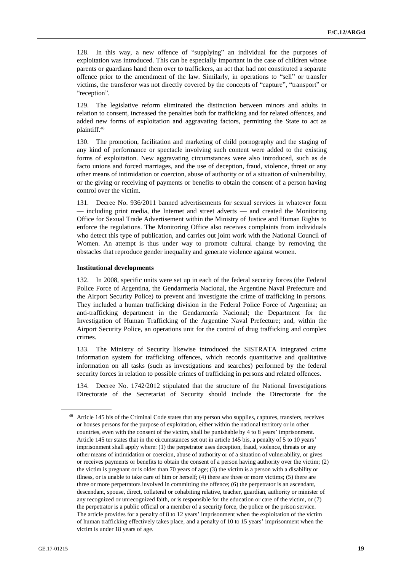128. In this way, a new offence of "supplying" an individual for the purposes of exploitation was introduced. This can be especially important in the case of children whose parents or guardians hand them over to traffickers, an act that had not constituted a separate offence prior to the amendment of the law. Similarly, in operations to "sell" or transfer victims, the transferor was not directly covered by the concepts of "capture", "transport" or "reception".

129. The legislative reform eliminated the distinction between minors and adults in relation to consent, increased the penalties both for trafficking and for related offences, and added new forms of exploitation and aggravating factors, permitting the State to act as plaintiff.<sup>46</sup>

130. The promotion, facilitation and marketing of child pornography and the staging of any kind of performance or spectacle involving such content were added to the existing forms of exploitation. New aggravating circumstances were also introduced, such as de facto unions and forced marriages, and the use of deception, fraud, violence, threat or any other means of intimidation or coercion, abuse of authority or of a situation of vulnerability, or the giving or receiving of payments or benefits to obtain the consent of a person having control over the victim.

131. Decree No. 936/2011 banned advertisements for sexual services in whatever form — including print media, the Internet and street adverts — and created the Monitoring Office for Sexual Trade Advertisement within the Ministry of Justice and Human Rights to enforce the regulations. The Monitoring Office also receives complaints from individuals who detect this type of publication, and carries out joint work with the National Council of Women. An attempt is thus under way to promote cultural change by removing the obstacles that reproduce gender inequality and generate violence against women.

#### **Institutional developments**

132. In 2008, specific units were set up in each of the federal security forces (the Federal Police Force of Argentina, the Gendarmería Nacional, the Argentine Naval Prefecture and the Airport Security Police) to prevent and investigate the crime of trafficking in persons. They included a human trafficking division in the Federal Police Force of Argentina; an anti-trafficking department in the Gendarmería Nacional; the Department for the Investigation of Human Trafficking of the Argentine Naval Prefecture; and, within the Airport Security Police, an operations unit for the control of drug trafficking and complex crimes.

133. The Ministry of Security likewise introduced the SISTRATA integrated crime information system for trafficking offences, which records quantitative and qualitative information on all tasks (such as investigations and searches) performed by the federal security forces in relation to possible crimes of trafficking in persons and related offences.

134. Decree No. 1742/2012 stipulated that the structure of the National Investigations Directorate of the Secretariat of Security should include the Directorate for the

<sup>&</sup>lt;sup>46</sup> Article 145 bis of the Criminal Code states that any person who supplies, captures, transfers, receives or houses persons for the purpose of exploitation, either within the national territory or in other countries, even with the consent of the victim, shall be punishable by 4 to 8 years' imprisonment. Article 145 ter states that in the circumstances set out in article 145 bis, a penalty of 5 to 10 years' imprisonment shall apply where: (1) the perpetrator uses deception, fraud, violence, threats or any other means of intimidation or coercion, abuse of authority or of a situation of vulnerability, or gives or receives payments or benefits to obtain the consent of a person having authority over the victim; (2) the victim is pregnant or is older than 70 years of age; (3) the victim is a person with a disability or illness, or is unable to take care of him or herself; (4) there are three or more victims; (5) there are three or more perpetrators involved in committing the offence; (6) the perpetrator is an ascendant, descendant, spouse, direct, collateral or cohabiting relative, teacher, guardian, authority or minister of any recognized or unrecognized faith, or is responsible for the education or care of the victim, or (7) the perpetrator is a public official or a member of a security force, the police or the prison service. The article provides for a penalty of 8 to 12 years' imprisonment when the exploitation of the victim of human trafficking effectively takes place, and a penalty of 10 to 15 years' imprisonment when the victim is under 18 years of age.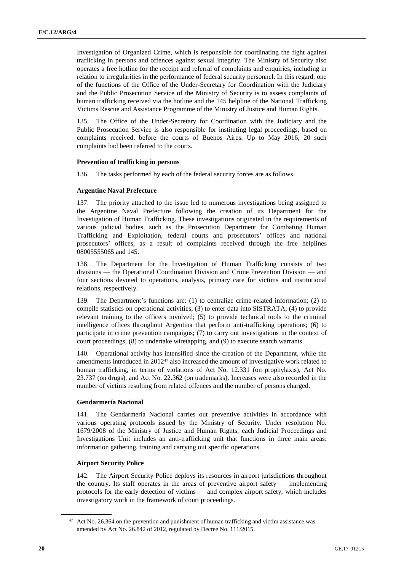Investigation of Organized Crime, which is responsible for coordinating the fight against trafficking in persons and offences against sexual integrity. The Ministry of Security also operates a free hotline for the receipt and referral of complaints and enquiries, including in relation to irregularities in the performance of federal security personnel. In this regard, one of the functions of the Office of the Under-Secretary for Coordination with the Judiciary and the Public Prosecution Service of the Ministry of Security is to assess complaints of human trafficking received via the hotline and the 145 helpline of the National Trafficking Victims Rescue and Assistance Programme of the Ministry of Justice and Human Rights.

135. The Office of the Under-Secretary for Coordination with the Judiciary and the Public Prosecution Service is also responsible for instituting legal proceedings, based on complaints received, before the courts of Buenos Aires. Up to May 2016, 20 such complaints had been referred to the courts.

# **Prevention of trafficking in persons**

136. The tasks performed by each of the federal security forces are as follows.

### **Argentine Naval Prefecture**

137. The priority attached to the issue led to numerous investigations being assigned to the Argentine Naval Prefecture following the creation of its Department for the Investigation of Human Trafficking. These investigations originated in the requirements of various judicial bodies, such as the Prosecution Department for Combating Human Trafficking and Exploitation, federal courts and prosecutors' offices and national prosecutors' offices, as a result of complaints received through the free helplines 08005555065 and 145.

138. The Department for the Investigation of Human Trafficking consists of two divisions — the Operational Coordination Division and Crime Prevention Division — and four sections devoted to operations, analysis, primary care for victims and institutional relations, respectively.

139. The Department's functions are: (1) to centralize crime-related information; (2) to compile statistics on operational activities; (3) to enter data into SISTRATA; (4) to provide relevant training to the officers involved; (5) to provide technical tools to the criminal intelligence offices throughout Argentina that perform anti-trafficking operations; (6) to participate in crime prevention campaigns; (7) to carry out investigations in the context of court proceedings; (8) to undertake wiretapping, and (9) to execute search warrants.

140. Operational activity has intensified since the creation of the Department, while the amendments introduced in 2012<sup>47</sup> also increased the amount of investigative work related to human trafficking, in terms of violations of Act No. 12.331 (on prophylaxis), Act No. 23.737 (on drugs), and Act No. 22.362 (on trademarks). Increases were also recorded in the number of victims resulting from related offences and the number of persons charged.

# **Gendarmería Nacional**

141. The Gendarmería Nacional carries out preventive activities in accordance with various operating protocols issued by the Ministry of Security. Under resolution No. 1679/2008 of the Ministry of Justice and Human Rights, each Judicial Proceedings and Investigations Unit includes an anti-trafficking unit that functions in three main areas: information gathering, training and carrying out specific operations.

# **Airport Security Police**

142. The Airport Security Police deploys its resources in airport jurisdictions throughout the country. Its staff operates in the areas of preventive airport safety — implementing protocols for the early detection of victims — and complex airport safety, which includes investigatory work in the framework of court proceedings.

<sup>&</sup>lt;sup>47</sup> Act No. 26.364 on the prevention and punishment of human trafficking and victim assistance was amended by Act No. 26.842 of 2012, regulated by Decree No. 111/2015.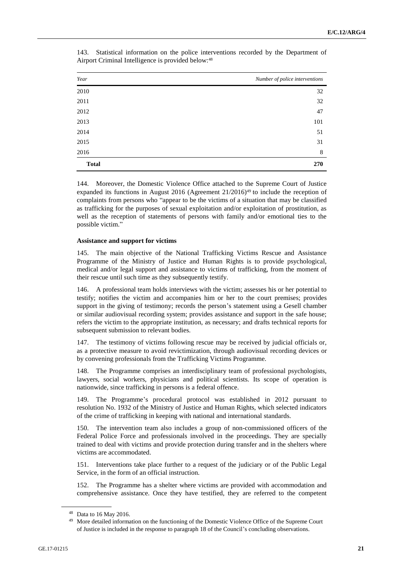| Year         | Number of police interventions |
|--------------|--------------------------------|
| 2010         | 32                             |
| 2011         | 32                             |
| 2012         | 47                             |
| 2013         | 101                            |
| 2014         | 51                             |
| 2015         | 31                             |
| 2016         | 8                              |
| <b>Total</b> | 270                            |

143. Statistical information on the police interventions recorded by the Department of Airport Criminal Intelligence is provided below:<sup>48</sup>

144. Moreover, the Domestic Violence Office attached to the Supreme Court of Justice expanded its functions in August 2016 (Agreement  $21/2016$ <sup>49</sup> to include the reception of complaints from persons who "appear to be the victims of a situation that may be classified as trafficking for the purposes of sexual exploitation and/or exploitation of prostitution, as well as the reception of statements of persons with family and/or emotional ties to the possible victim."

### **Assistance and support for victims**

The main objective of the National Trafficking Victims Rescue and Assistance Programme of the Ministry of Justice and Human Rights is to provide psychological, medical and/or legal support and assistance to victims of trafficking, from the moment of their rescue until such time as they subsequently testify.

146. A professional team holds interviews with the victim; assesses his or her potential to testify; notifies the victim and accompanies him or her to the court premises; provides support in the giving of testimony; records the person's statement using a Gesell chamber or similar audiovisual recording system; provides assistance and support in the safe house; refers the victim to the appropriate institution, as necessary; and drafts technical reports for subsequent submission to relevant bodies.

147. The testimony of victims following rescue may be received by judicial officials or, as a protective measure to avoid revictimization, through audiovisual recording devices or by convening professionals from the Trafficking Victims Programme.

148. The Programme comprises an interdisciplinary team of professional psychologists, lawyers, social workers, physicians and political scientists. Its scope of operation is nationwide, since trafficking in persons is a federal offence.

149. The Programme's procedural protocol was established in 2012 pursuant to resolution No. 1932 of the Ministry of Justice and Human Rights, which selected indicators of the crime of trafficking in keeping with national and international standards.

150. The intervention team also includes a group of non-commissioned officers of the Federal Police Force and professionals involved in the proceedings. They are specially trained to deal with victims and provide protection during transfer and in the shelters where victims are accommodated.

151. Interventions take place further to a request of the judiciary or of the Public Legal Service, in the form of an official instruction.

152. The Programme has a shelter where victims are provided with accommodation and comprehensive assistance. Once they have testified, they are referred to the competent

<sup>48</sup> Data to 16 May 2016.

<sup>&</sup>lt;sup>49</sup> More detailed information on the functioning of the Domestic Violence Office of the Supreme Court of Justice is included in the response to paragraph 18 of the Council's concluding observations.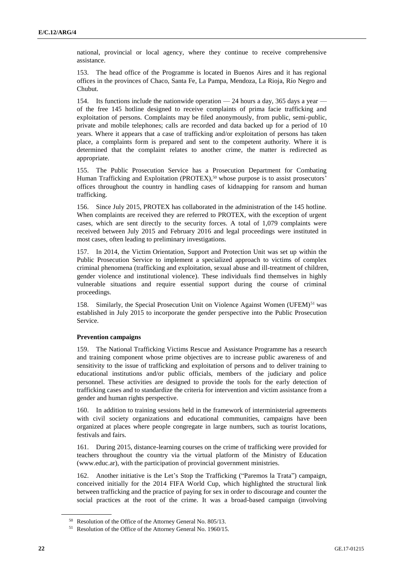national, provincial or local agency, where they continue to receive comprehensive assistance.

153. The head office of the Programme is located in Buenos Aires and it has regional offices in the provinces of Chaco, Santa Fe, La Pampa, Mendoza, La Rioja, Río Negro and Chubut.

154. Its functions include the nationwide operation — 24 hours a day, 365 days a year of the free 145 hotline designed to receive complaints of prima facie trafficking and exploitation of persons. Complaints may be filed anonymously, from public, semi-public, private and mobile telephones; calls are recorded and data backed up for a period of 10 years. Where it appears that a case of trafficking and/or exploitation of persons has taken place, a complaints form is prepared and sent to the competent authority. Where it is determined that the complaint relates to another crime, the matter is redirected as appropriate.

155. The Public Prosecution Service has a Prosecution Department for Combating Human Trafficking and Exploitation (PROTEX),<sup>50</sup> whose purpose is to assist prosecutors' offices throughout the country in handling cases of kidnapping for ransom and human trafficking.

156. Since July 2015, PROTEX has collaborated in the administration of the 145 hotline. When complaints are received they are referred to PROTEX, with the exception of urgent cases, which are sent directly to the security forces. A total of 1,079 complaints were received between July 2015 and February 2016 and legal proceedings were instituted in most cases, often leading to preliminary investigations.

157. In 2014, the Victim Orientation, Support and Protection Unit was set up within the Public Prosecution Service to implement a specialized approach to victims of complex criminal phenomena (trafficking and exploitation, sexual abuse and ill-treatment of children, gender violence and institutional violence). These individuals find themselves in highly vulnerable situations and require essential support during the course of criminal proceedings.

158. Similarly, the Special Prosecution Unit on Violence Against Women (UFEM)<sup>51</sup> was established in July 2015 to incorporate the gender perspective into the Public Prosecution Service.

# **Prevention campaigns**

159. The National Trafficking Victims Rescue and Assistance Programme has a research and training component whose prime objectives are to increase public awareness of and sensitivity to the issue of trafficking and exploitation of persons and to deliver training to educational institutions and/or public officials, members of the judiciary and police personnel. These activities are designed to provide the tools for the early detection of trafficking cases and to standardize the criteria for intervention and victim assistance from a gender and human rights perspective.

160. In addition to training sessions held in the framework of interministerial agreements with civil society organizations and educational communities, campaigns have been organized at places where people congregate in large numbers, such as tourist locations, festivals and fairs.

161. During 2015, distance-learning courses on the crime of trafficking were provided for teachers throughout the country via the virtual platform of the Ministry of Education (www.educ.ar), with the participation of provincial government ministries.

162. Another initiative is the Let's Stop the Trafficking ("Paremos la Trata") campaign, conceived initially for the 2014 FIFA World Cup, which highlighted the structural link between trafficking and the practice of paying for sex in order to discourage and counter the social practices at the root of the crime. It was a broad-based campaign (involving

<sup>50</sup> Resolution of the Office of the Attorney General No. 805/13.

<sup>51</sup> Resolution of the Office of the Attorney General No. 1960/15.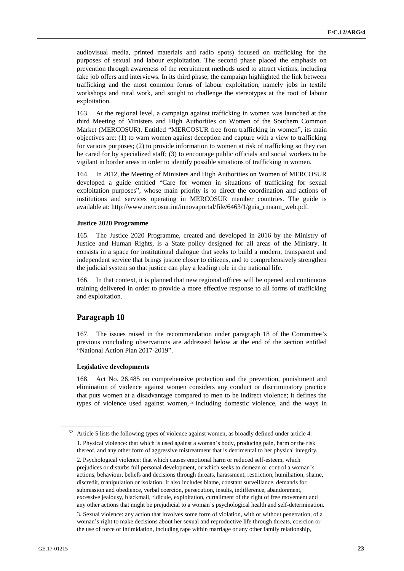audiovisual media, printed materials and radio spots) focused on trafficking for the purposes of sexual and labour exploitation. The second phase placed the emphasis on prevention through awareness of the recruitment methods used to attract victims, including fake job offers and interviews. In its third phase, the campaign highlighted the link between trafficking and the most common forms of labour exploitation, namely jobs in textile workshops and rural work, and sought to challenge the stereotypes at the root of labour exploitation.

163. At the regional level, a campaign against trafficking in women was launched at the third Meeting of Ministers and High Authorities on Women of the Southern Common Market (MERCOSUR). Entitled "MERCOSUR free from trafficking in women", its main objectives are: (1) to warn women against deception and capture with a view to trafficking for various purposes; (2) to provide information to women at risk of trafficking so they can be cared for by specialized staff; (3) to encourage public officials and social workers to be vigilant in border areas in order to identify possible situations of trafficking in women.

164. In 2012, the Meeting of Ministers and High Authorities on Women of MERCOSUR developed a guide entitled "Care for women in situations of trafficking for sexual exploitation purposes", whose main priority is to direct the coordination and actions of institutions and services operating in MERCOSUR member countries. The guide is available at: http://www.mercosur.int/innovaportal/file/6463/1/guia\_rmaam\_web.pdf.

#### **Justice 2020 Programme**

165. The Justice 2020 Programme, created and developed in 2016 by the Ministry of Justice and Human Rights, is a State policy designed for all areas of the Ministry. It consists in a space for institutional dialogue that seeks to build a modern, transparent and independent service that brings justice closer to citizens, and to comprehensively strengthen the judicial system so that justice can play a leading role in the national life.

166. In that context, it is planned that new regional offices will be opened and continuous training delivered in order to provide a more effective response to all forms of trafficking and exploitation.

#### **Paragraph 18**

167. The issues raised in the recommendation under paragraph 18 of the Committee's previous concluding observations are addressed below at the end of the section entitled "National Action Plan 2017-2019".

#### **Legislative developments**

168. Act No. 26.485 on comprehensive protection and the prevention, punishment and elimination of violence against women considers any conduct or discriminatory practice that puts women at a disadvantage compared to men to be indirect violence; it defines the types of violence used against women,<sup>52</sup> including domestic violence, and the ways in

<sup>52</sup> Article 5 lists the following types of violence against women, as broadly defined under article 4: 1. Physical violence: that which is used against a woman's body, producing pain, harm or the risk thereof, and any other form of aggressive mistreatment that is detrimental to her physical integrity. 2. Psychological violence: that which causes emotional harm or reduced self-esteem, which prejudices or disturbs full personal development, or which seeks to demean or control a woman's actions, behaviour, beliefs and decisions through threats, harassment, restriction, humiliation, shame, discredit, manipulation or isolation. It also includes blame, constant surveillance, demands for submission and obedience, verbal coercion, persecution, insults, indifference, abandonment, excessive jealousy, blackmail, ridicule, exploitation, curtailment of the right of free movement and any other actions that might be prejudicial to a woman's psychological health and self-determination.

<sup>3.</sup> Sexual violence: any action that involves some form of violation, with or without penetration, of a woman's right to make decisions about her sexual and reproductive life through threats, coercion or the use of force or intimidation, including rape within marriage or any other family relationship,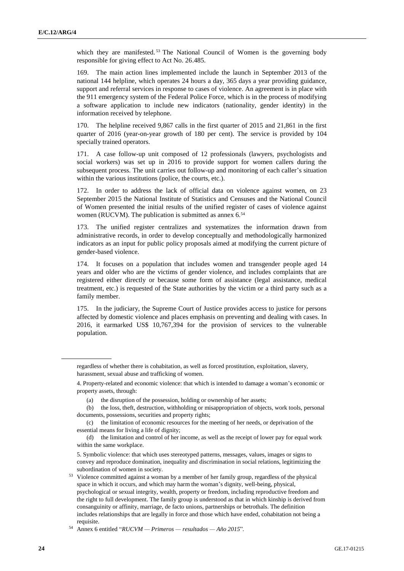which they are manifested.<sup>53</sup> The National Council of Women is the governing body responsible for giving effect to Act No. 26.485.

169. The main action lines implemented include the launch in September 2013 of the national 144 helpline, which operates 24 hours a day, 365 days a year providing guidance, support and referral services in response to cases of violence. An agreement is in place with the 911 emergency system of the Federal Police Force, which is in the process of modifying a software application to include new indicators (nationality, gender identity) in the information received by telephone.

170. The helpline received 9,867 calls in the first quarter of 2015 and 21,861 in the first quarter of 2016 (year-on-year growth of 180 per cent). The service is provided by 104 specially trained operators.

171. A case follow-up unit composed of 12 professionals (lawyers, psychologists and social workers) was set up in 2016 to provide support for women callers during the subsequent process. The unit carries out follow-up and monitoring of each caller's situation within the various institutions (police, the courts, etc.).

172. In order to address the lack of official data on violence against women, on 23 September 2015 the National Institute of Statistics and Censuses and the National Council of Women presented the initial results of the unified register of cases of violence against women (RUCVM). The publication is submitted as annex 6.<sup>54</sup>

173. The unified register centralizes and systematizes the information drawn from administrative records, in order to develop conceptually and methodologically harmonized indicators as an input for public policy proposals aimed at modifying the current picture of gender-based violence.

174. It focuses on a population that includes women and transgender people aged 14 years and older who are the victims of gender violence, and includes complaints that are registered either directly or because some form of assistance (legal assistance, medical treatment, etc.) is requested of the State authorities by the victim or a third party such as a family member.

175. In the judiciary, the Supreme Court of Justice provides access to justice for persons affected by domestic violence and places emphasis on preventing and dealing with cases. In 2016, it earmarked US\$ 10,767,394 for the provision of services to the vulnerable population.

regardless of whether there is cohabitation, as well as forced prostitution, exploitation, slavery, harassment, sexual abuse and trafficking of women.

<sup>4.</sup> Property-related and economic violence: that which is intended to damage a woman's economic or property assets, through:

<sup>(</sup>a) the disruption of the possession, holding or ownership of her assets;

<sup>(</sup>b) the loss, theft, destruction, withholding or misappropriation of objects, work tools, personal documents, possessions, securities and property rights;

<sup>(</sup>c) the limitation of economic resources for the meeting of her needs, or deprivation of the essential means for living a life of dignity;

<sup>(</sup>d) the limitation and control of her income, as well as the receipt of lower pay for equal work within the same workplace.

<sup>5.</sup> Symbolic violence: that which uses stereotyped patterns, messages, values, images or signs to convey and reproduce domination, inequality and discrimination in social relations, legitimizing the subordination of women in society.

<sup>53</sup> Violence committed against a woman by a member of her family group, regardless of the physical space in which it occurs, and which may harm the woman's dignity, well-being, physical, psychological or sexual integrity, wealth, property or freedom, including reproductive freedom and the right to full development. The family group is understood as that in which kinship is derived from consanguinity or affinity, marriage, de facto unions, partnerships or betrothals. The definition includes relationships that are legally in force and those which have ended, cohabitation not being a requisite.

<sup>54</sup> Annex 6 entitled "*RUCVM — Primeros — resultados — Año 2015*"*.*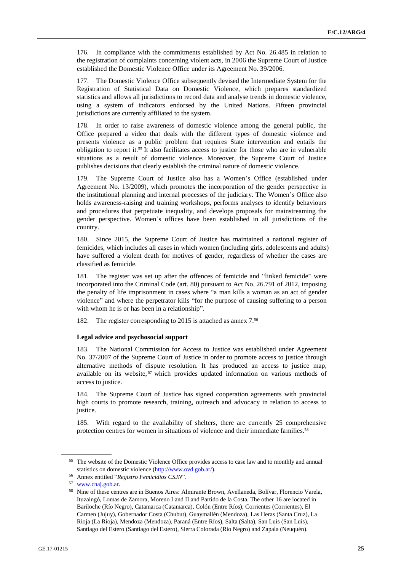176. In compliance with the commitments established by Act No. 26.485 in relation to the registration of complaints concerning violent acts, in 2006 the Supreme Court of Justice established the Domestic Violence Office under its Agreement No. 39/2006.

177. The Domestic Violence Office subsequently devised the Intermediate System for the Registration of Statistical Data on Domestic Violence, which prepares standardized statistics and allows all jurisdictions to record data and analyse trends in domestic violence, using a system of indicators endorsed by the United Nations. Fifteen provincial jurisdictions are currently affiliated to the system.

178. In order to raise awareness of domestic violence among the general public, the Office prepared a video that deals with the different types of domestic violence and presents violence as a public problem that requires State intervention and entails the obligation to report it.<sup>55</sup> It also facilitates access to justice for those who are in vulnerable situations as a result of domestic violence. Moreover, the Supreme Court of Justice publishes decisions that clearly establish the criminal nature of domestic violence.

179. The Supreme Court of Justice also has a Women's Office (established under Agreement No. 13/2009), which promotes the incorporation of the gender perspective in the institutional planning and internal processes of the judiciary. The Women's Office also holds awareness-raising and training workshops, performs analyses to identify behaviours and procedures that perpetuate inequality, and develops proposals for mainstreaming the gender perspective. Women's offices have been established in all jurisdictions of the country.

180. Since 2015, the Supreme Court of Justice has maintained a national register of femicides, which includes all cases in which women (including girls, adolescents and adults) have suffered a violent death for motives of gender, regardless of whether the cases are classified as femicide.

181. The register was set up after the offences of femicide and "linked femicide" were incorporated into the Criminal Code (art. 80) pursuant to Act No. 26.791 of 2012, imposing the penalty of life imprisonment in cases where "a man kills a woman as an act of gender violence" and where the perpetrator kills "for the purpose of causing suffering to a person with whom he is or has been in a relationship".

182. The register corresponding to 2015 is attached as annex 7.<sup>56</sup>

## **Legal advice and psychosocial support**

183. The National Commission for Access to Justice was established under Agreement No. 37/2007 of the Supreme Court of Justice in order to promote access to justice through alternative methods of dispute resolution. It has produced an access to justice map, available on its website,<sup>57</sup> which provides updated information on various methods of access to justice.

184. The Supreme Court of Justice has signed cooperation agreements with provincial high courts to promote research, training, outreach and advocacy in relation to access to justice.

185. With regard to the availability of shelters, there are currently 25 comprehensive protection centres for women in situations of violence and their immediate families.<sup>58</sup>

<sup>&</sup>lt;sup>55</sup> The website of the Domestic Violence Office provides access to case law and to monthly and annual statistics on domestic violence [\(http://www.ovd.gob.ar/\)](http://www.ovd.gob.ar/).

<sup>56</sup> Annex entitled "*Registro Femicidios CSJN*"*.*

<sup>57</sup> [www.cnaj.gob.ar.](http://www.cnaj.gob.ar/)

<sup>58</sup> Nine of these centres are in Buenos Aires: Almirante Brown, Avellaneda, Bolívar, Florencio Varela, Ituzaingó, Lomas de Zamora, Moreno I and II and Partido de la Costa. The other 16 are located in Bariloche (Río Negro), Catamarca (Catamarca), Colón (Entre Ríos), Corrientes (Corrientes), El Carmen (Jujuy), Gobernador Costa (Chubut), Guaymallén (Mendoza), Las Heras (Santa Cruz), La Rioja (La Rioja), Mendoza (Mendoza), Paraná (Entre Ríos), Salta (Salta), San Luis (San Luis), Santiago del Estero (Santiago del Estero), Sierra Colorada (Rio Negro) and Zapala (Neuquén).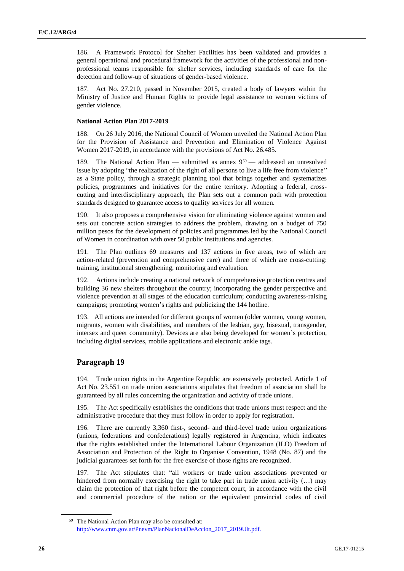186. A Framework Protocol for Shelter Facilities has been validated and provides a general operational and procedural framework for the activities of the professional and nonprofessional teams responsible for shelter services, including standards of care for the detection and follow-up of situations of gender-based violence.

187. Act No. 27.210, passed in November 2015, created a body of lawyers within the Ministry of Justice and Human Rights to provide legal assistance to women victims of gender violence.

## **National Action Plan 2017-2019**

188. On 26 July 2016, the National Council of Women unveiled the National Action Plan for the Provision of Assistance and Prevention and Elimination of Violence Against Women 2017-2019, in accordance with the provisions of Act No. 26.485.

189. The National Action Plan — submitted as annex 9<sup>59</sup> — addressed an unresolved issue by adopting "the realization of the right of all persons to live a life free from violence" as a State policy, through a strategic planning tool that brings together and systematizes policies, programmes and initiatives for the entire territory. Adopting a federal, crosscutting and interdisciplinary approach, the Plan sets out a common path with protection standards designed to guarantee access to quality services for all women.

190. It also proposes a comprehensive vision for eliminating violence against women and sets out concrete action strategies to address the problem, drawing on a budget of 750 million pesos for the development of policies and programmes led by the National Council of Women in coordination with over 50 public institutions and agencies.

191. The Plan outlines 69 measures and 137 actions in five areas, two of which are action-related (prevention and comprehensive care) and three of which are cross-cutting: training, institutional strengthening, monitoring and evaluation.

192. Actions include creating a national network of comprehensive protection centres and building 36 new shelters throughout the country; incorporating the gender perspective and violence prevention at all stages of the education curriculum; conducting awareness-raising campaigns; promoting women's rights and publicizing the 144 hotline.

193. All actions are intended for different groups of women (older women, young women, migrants, women with disabilities, and members of the lesbian, gay, bisexual, transgender, intersex and queer community). Devices are also being developed for women's protection, including digital services, mobile applications and electronic ankle tags.

# **Paragraph 19**

194. Trade union rights in the Argentine Republic are extensively protected. Article 1 of Act No. 23.551 on trade union associations stipulates that freedom of association shall be guaranteed by all rules concerning the organization and activity of trade unions.

195. The Act specifically establishes the conditions that trade unions must respect and the administrative procedure that they must follow in order to apply for registration.

196. There are currently 3,360 first-, second- and third-level trade union organizations (unions, federations and confederations) legally registered in Argentina, which indicates that the rights established under the International Labour Organization (ILO) Freedom of Association and Protection of the Right to Organise Convention, 1948 (No. 87) and the judicial guarantees set forth for the free exercise of those rights are recognized.

197. The Act stipulates that: "all workers or trade union associations prevented or hindered from normally exercising the right to take part in trade union activity (...) may claim the protection of that right before the competent court, in accordance with the civil and commercial procedure of the nation or the equivalent provincial codes of civil

<sup>59</sup> The National Action Plan may also be consulted at: [http://www.cnm.gov.ar/Pnevm/PlanNacionalDeAccion\\_2017\\_2019Ult.pdf.](http://www.cnm.gov.ar/Pnevm/PlanNacionalDeAccion_2017_2019Ult.pdf.)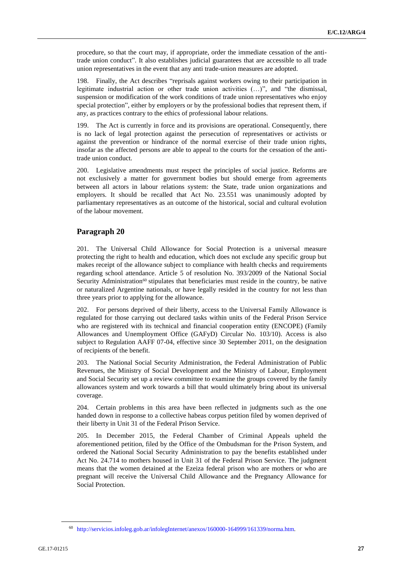procedure, so that the court may, if appropriate, order the immediate cessation of the antitrade union conduct". It also establishes judicial guarantees that are accessible to all trade union representatives in the event that any anti trade-union measures are adopted.

198. Finally, the Act describes "reprisals against workers owing to their participation in legitimate industrial action or other trade union activities (…)", and "the dismissal, suspension or modification of the work conditions of trade union representatives who enjoy special protection", either by employers or by the professional bodies that represent them, if any, as practices contrary to the ethics of professional labour relations.

199. The Act is currently in force and its provisions are operational. Consequently, there is no lack of legal protection against the persecution of representatives or activists or against the prevention or hindrance of the normal exercise of their trade union rights, insofar as the affected persons are able to appeal to the courts for the cessation of the antitrade union conduct.

200. Legislative amendments must respect the principles of social justice. Reforms are not exclusively a matter for government bodies but should emerge from agreements between all actors in labour relations system: the State, trade union organizations and employers. It should be recalled that Act No. 23.551 was unanimously adopted by parliamentary representatives as an outcome of the historical, social and cultural evolution of the labour movement.

# **Paragraph 20**

201. The Universal Child Allowance for Social Protection is a universal measure protecting the right to health and education, which does not exclude any specific group but makes receipt of the allowance subject to compliance with health checks and requirements regarding school attendance. Article 5 of resolution No. 393/2009 of the National Social Security Administration<sup>60</sup> stipulates that beneficiaries must reside in the country, be native or naturalized Argentine nationals, or have legally resided in the country for not less than three years prior to applying for the allowance.

202. For persons deprived of their liberty, access to the Universal Family Allowance is regulated for those carrying out declared tasks within units of the Federal Prison Service who are registered with its technical and financial cooperation entity (ENCOPE) (Family Allowances and Unemployment Office (GAFyD) Circular No. 103/10). Access is also subject to Regulation AAFF 07-04, effective since 30 September 2011, on the designation of recipients of the benefit.

203. The National Social Security Administration, the Federal Administration of Public Revenues, the Ministry of Social Development and the Ministry of Labour, Employment and Social Security set up a review committee to examine the groups covered by the family allowances system and work towards a bill that would ultimately bring about its universal coverage.

204. Certain problems in this area have been reflected in judgments such as the one handed down in response to a collective habeas corpus petition filed by women deprived of their liberty in Unit 31 of the Federal Prison Service.

205. In December 2015, the Federal Chamber of Criminal Appeals upheld the aforementioned petition, filed by the Office of the Ombudsman for the Prison System, and ordered the National Social Security Administration to pay the benefits established under Act No. 24.714 to mothers housed in Unit 31 of the Federal Prison Service. The judgment means that the women detained at the Ezeiza federal prison who are mothers or who are pregnant will receive the Universal Child Allowance and the Pregnancy Allowance for Social Protection.

<sup>60</sup> [http://servicios.infoleg.gob.ar/infolegInternet/anexos/160000-164999/161339/norma.htm.](http://servicios.infoleg.gob.ar/infolegInternet/anexos/160000-164999/161339/norma.htm)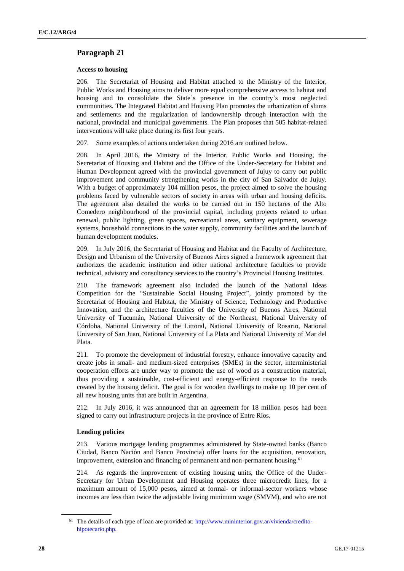# **Paragraph 21**

# **Access to housing**

206. The Secretariat of Housing and Habitat attached to the Ministry of the Interior, Public Works and Housing aims to deliver more equal comprehensive access to habitat and housing and to consolidate the State's presence in the country's most neglected communities. The Integrated Habitat and Housing Plan promotes the urbanization of slums and settlements and the regularization of landownership through interaction with the national, provincial and municipal governments. The Plan proposes that 505 habitat-related interventions will take place during its first four years.

207. Some examples of actions undertaken during 2016 are outlined below.

208. In April 2016, the Ministry of the Interior, Public Works and Housing, the Secretariat of Housing and Habitat and the Office of the Under-Secretary for Habitat and Human Development agreed with the provincial government of Jujuy to carry out public improvement and community strengthening works in the city of San Salvador de Jujuy. With a budget of approximately 104 million pesos, the project aimed to solve the housing problems faced by vulnerable sectors of society in areas with urban and housing deficits. The agreement also detailed the works to be carried out in 150 hectares of the Alto Comedero neighbourhood of the provincial capital, including projects related to urban renewal, public lighting, green spaces, recreational areas, sanitary equipment, sewerage systems, household connections to the water supply, community facilities and the launch of human development modules.

209. In July 2016, the Secretariat of Housing and Habitat and the Faculty of Architecture, Design and Urbanism of the University of Buenos Aires signed a framework agreement that authorizes the academic institution and other national architecture faculties to provide technical, advisory and consultancy services to the country's Provincial Housing Institutes.

210. The framework agreement also included the launch of the National Ideas Competition for the "Sustainable Social Housing Project", jointly promoted by the Secretariat of Housing and Habitat, the Ministry of Science, Technology and Productive Innovation, and the architecture faculties of the University of Buenos Aires, National University of Tucumán, National University of the Northeast, National University of Córdoba, National University of the Littoral, National University of Rosario, National University of San Juan, National University of La Plata and National University of Mar del Plata.

211. To promote the development of industrial forestry, enhance innovative capacity and create jobs in small- and medium-sized enterprises (SMEs) in the sector, interministerial cooperation efforts are under way to promote the use of wood as a construction material, thus providing a sustainable, cost-efficient and energy-efficient response to the needs created by the housing deficit. The goal is for wooden dwellings to make up 10 per cent of all new housing units that are built in Argentina.

212. In July 2016, it was announced that an agreement for 18 million pesos had been signed to carry out infrastructure projects in the province of Entre Ríos.

# **Lending policies**

213. Various mortgage lending programmes administered by State-owned banks (Banco Ciudad, Banco Nación and Banco Provincia) offer loans for the acquisition, renovation, improvement, extension and financing of permanent and non-permanent housing.<sup>61</sup>

214. As regards the improvement of existing housing units, the Office of the Under-Secretary for Urban Development and Housing operates three microcredit lines, for a maximum amount of 15,000 pesos, aimed at formal- or informal-sector workers whose incomes are less than twice the adjustable living minimum wage (SMVM), and who are not

<sup>61</sup> The details of each type of loan are provided at: [http://www.mininterior.gov.ar/vivienda/credito](http://www.mininterior.gov.ar/vivienda/credito-hipotecario.php)[hipotecario.php.](http://www.mininterior.gov.ar/vivienda/credito-hipotecario.php)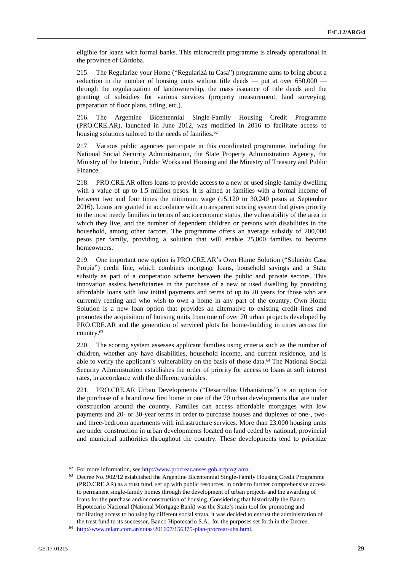eligible for loans with formal banks. This microcredit programme is already operational in the province of Córdoba.

215. The Regularize your Home ("Regularizá tu Casa") programme aims to bring about a reduction in the number of housing units without title deeds — put at over  $650,000$  through the regularization of landownership, the mass issuance of title deeds and the granting of subsidies for various services (property measurement, land surveying, preparation of floor plans, titling, etc.).

216. The Argentine Bicentennial Single-Family Housing Credit Programme (PRO.CRE.AR), launched in June 2012, was modified in 2016 to facilitate access to housing solutions tailored to the needs of families.<sup>62</sup>

217. Various public agencies participate in this coordinated programme, including the National Social Security Administration, the State Property Administration Agency, the Ministry of the Interior, Public Works and Housing and the Ministry of Treasury and Public Finance.

218. PRO.CRE.AR offers loans to provide access to a new or used single-family dwelling with a value of up to 1.5 million pesos. It is aimed at families with a formal income of between two and four times the minimum wage (15,120 to 30,240 pesos at September 2016). Loans are granted in accordance with a transparent scoring system that gives priority to the most needy families in terms of socioeconomic status, the vulnerability of the area in which they live, and the number of dependent children or persons with disabilities in the household, among other factors. The programme offers an average subsidy of 200,000 pesos per family, providing a solution that will enable 25,000 families to become homeowners.

219. One important new option is PRO.CRE.AR's Own Home Solution ("Solución Casa Propia") credit line, which combines mortgage loans, household savings and a State subsidy as part of a cooperation scheme between the public and private sectors. This innovation assists beneficiaries in the purchase of a new or used dwelling by providing affordable loans with low initial payments and terms of up to 20 years for those who are currently renting and who wish to own a home in any part of the country. Own Home Solution is a new loan option that provides an alternative to existing credit lines and promotes the acquisition of housing units from one of over 70 urban projects developed by PRO.CRE.AR and the generation of serviced plots for home-building in cities across the country. 63

220. The scoring system assesses applicant families using criteria such as the number of children, whether any have disabilities, household income, and current residence, and is able to verify the applicant's vulnerability on the basis of those data.<sup>64</sup> The National Social Security Administration establishes the order of priority for access to loans at soft interest rates, in accordance with the different variables.

221. PRO.CRE.AR Urban Developments ("Desarrollos Urbanísticos") is an option for the purchase of a brand new first home in one of the 70 urban developments that are under construction around the country. Families can access affordable mortgages with low payments and 20- or 30-year terms in order to purchase houses and duplexes or one-, twoand three-bedroom apartments with infrastructure services. More than 23,000 housing units are under construction in urban developments located on land ceded by national, provincial and municipal authorities throughout the country. These developments tend to prioritize

<sup>62</sup> For more information, se[e http://www.procrear.anses.gob.ar/programa.](http://www.procrear.anses.gob.ar/programa)

<sup>63</sup> Decree No. 902/12 established the Argentine Bicentennial Single-Family Housing Credit Programme (PRO.CRE.AR) as a trust fund, set up with public resources, in order to further comprehensive access to permanent single-family homes through the development of urban projects and the awarding of loans for the purchase and/or construction of housing. Considering that historically the Banco Hipotecario Nacional (National Mortgage Bank) was the State's main tool for promoting and facilitating access to housing by different social strata, it was decided to entrust the administration of the trust fund to its successor, Banco Hipotecario S.A., for the purposes set forth in the Decree.

<sup>64</sup> [http://www.telam.com.ar/notas/201607/156375-plan-procrear-uba.html.](http://www.telam.com.ar/notas/201607/156375-plan-procrear-uba.html)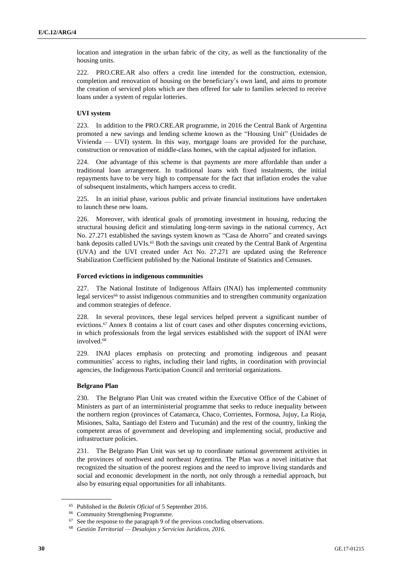location and integration in the urban fabric of the city, as well as the functionality of the housing units.

222. PRO.CRE.AR also offers a credit line intended for the construction, extension, completion and renovation of housing on the beneficiary's own land, and aims to promote the creation of serviced plots which are then offered for sale to families selected to receive loans under a system of regular lotteries.

# **UVI system**

223. In addition to the PRO.CRE.AR programme, in 2016 the Central Bank of Argentina promoted a new savings and lending scheme known as the "Housing Unit" (Unidades de Vivienda — UVI) system. In this way, mortgage loans are provided for the purchase, construction or renovation of middle-class homes, with the capital adjusted for inflation.

224. One advantage of this scheme is that payments are more affordable than under a traditional loan arrangement. In traditional loans with fixed instalments, the initial repayments have to be very high to compensate for the fact that inflation erodes the value of subsequent instalments, which hampers access to credit.

225. In an initial phase, various public and private financial institutions have undertaken to launch these new loans.

226. Moreover, with identical goals of promoting investment in housing, reducing the structural housing deficit and stimulating long-term savings in the national currency, Act No. 27.271 established the savings system known as "Casa de Ahorro" and created savings bank deposits called UVIs.<sup>65</sup> Both the savings unit created by the Central Bank of Argentina (UVA) and the UVI created under Act No. 27.271 are updated using the Reference Stabilization Coefficient published by the National Institute of Statistics and Censuses.

### **Forced evictions in indigenous communities**

227. The National Institute of Indigenous Affairs (INAI) has implemented community legal services<sup>66</sup> to assist indigenous communities and to strengthen community organization and common strategies of defence.

228. In several provinces, these legal services helped prevent a significant number of evictions.<sup>67</sup> Annex 8 contains a list of court cases and other disputes concerning evictions, in which professionals from the legal services established with the support of INAI were involved.<sup>68</sup>

229. INAI places emphasis on protecting and promoting indigenous and peasant communities' access to rights, including their land rights, in coordination with provincial agencies, the Indigenous Participation Council and territorial organizations.

# **Belgrano Plan**

230. The Belgrano Plan Unit was created within the Executive Office of the Cabinet of Ministers as part of an interministerial programme that seeks to reduce inequality between the northern region (provinces of Catamarca, Chaco, Corrientes, Formosa, Jujuy, La Rioja, Misiones, Salta, Santiago del Estero and Tucumán) and the rest of the country, linking the competent areas of government and developing and implementing social, productive and infrastructure policies.

231. The Belgrano Plan Unit was set up to coordinate national government activities in the provinces of northwest and northeast Argentina. The Plan was a novel initiative that recognized the situation of the poorest regions and the need to improve living standards and social and economic development in the north, not only through a remedial approach, but also by ensuring equal opportunities for all inhabitants.

<sup>65</sup> Published in the *Boletín Oficial* of 5 September 2016.

<sup>66</sup> Community Strengthening Programme.

 $67$  See the response to the paragraph 9 of the previous concluding observations.

<sup>68</sup> *Gestión Territorial — Desalojos y Servicios Jurídicos, 2016.*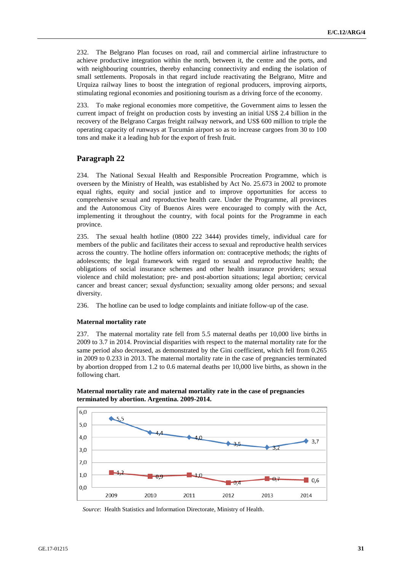232. The Belgrano Plan focuses on road, rail and commercial airline infrastructure to achieve productive integration within the north, between it, the centre and the ports, and with neighbouring countries, thereby enhancing connectivity and ending the isolation of small settlements. Proposals in that regard include reactivating the Belgrano, Mitre and Urquiza railway lines to boost the integration of regional producers, improving airports, stimulating regional economies and positioning tourism as a driving force of the economy.

233. To make regional economies more competitive, the Government aims to lessen the current impact of freight on production costs by investing an initial US\$ 2.4 billion in the recovery of the Belgrano Cargas freight railway network, and US\$ 600 million to triple the operating capacity of runways at Tucumán airport so as to increase cargoes from 30 to 100 tons and make it a leading hub for the export of fresh fruit.

# **Paragraph 22**

234. The National Sexual Health and Responsible Procreation Programme, which is overseen by the Ministry of Health, was established by Act No. 25.673 in 2002 to promote equal rights, equity and social justice and to improve opportunities for access to comprehensive sexual and reproductive health care. Under the Programme, all provinces and the Autonomous City of Buenos Aires were encouraged to comply with the Act, implementing it throughout the country, with focal points for the Programme in each province.

235. The sexual health hotline (0800 222 3444) provides timely, individual care for members of the public and facilitates their access to sexual and reproductive health services across the country. The hotline offers information on: contraceptive methods; the rights of adolescents; the legal framework with regard to sexual and reproductive health; the obligations of social insurance schemes and other health insurance providers; sexual violence and child molestation; pre- and post-abortion situations; legal abortion; cervical cancer and breast cancer; sexual dysfunction; sexuality among older persons; and sexual diversity.

236. The hotline can be used to lodge complaints and initiate follow-up of the case.

# **Maternal mortality rate**

237. The maternal mortality rate fell from 5.5 maternal deaths per 10,000 live births in 2009 to 3.7 in 2014. Provincial disparities with respect to the maternal mortality rate for the same period also decreased, as demonstrated by the Gini coefficient, which fell from 0.265 in 2009 to 0.233 in 2013. The maternal mortality rate in the case of pregnancies terminated by abortion dropped from 1.2 to 0.6 maternal deaths per 10,000 live births, as shown in the following chart.



**Maternal mortality rate and maternal mortality rate in the case of pregnancies terminated by abortion. Argentina. 2009-2014.**

*Source*: Health Statistics and Information Directorate, Ministry of Health.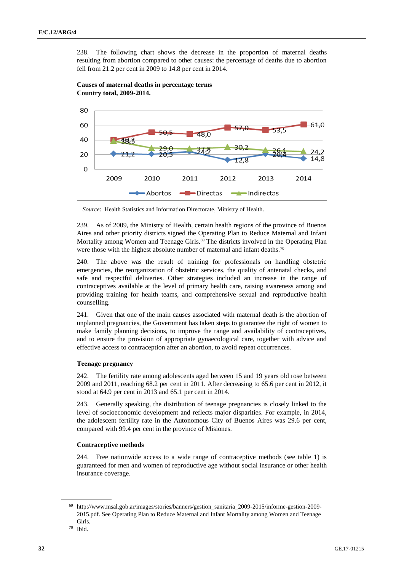238. The following chart shows the decrease in the proportion of maternal deaths resulting from abortion compared to other causes: the percentage of deaths due to abortion fell from 21.2 per cent in 2009 to 14.8 per cent in 2014.





239. As of 2009, the Ministry of Health, certain health regions of the province of Buenos Aires and other priority districts signed the Operating Plan to Reduce Maternal and Infant Mortality among Women and Teenage Girls.<sup>69</sup> The districts involved in the Operating Plan were those with the highest absolute number of maternal and infant deaths.<sup>70</sup>

240. The above was the result of training for professionals on handling obstetric emergencies, the reorganization of obstetric services, the quality of antenatal checks, and safe and respectful deliveries. Other strategies included an increase in the range of contraceptives available at the level of primary health care, raising awareness among and providing training for health teams, and comprehensive sexual and reproductive health counselling.

241. Given that one of the main causes associated with maternal death is the abortion of unplanned pregnancies, the Government has taken steps to guarantee the right of women to make family planning decisions, to improve the range and availability of contraceptives, and to ensure the provision of appropriate gynaecological care, together with advice and effective access to contraception after an abortion, to avoid repeat occurrences.

# **Teenage pregnancy**

242. The fertility rate among adolescents aged between 15 and 19 years old rose between 2009 and 2011, reaching 68.2 per cent in 2011. After decreasing to 65.6 per cent in 2012, it stood at 64.9 per cent in 2013 and 65.1 per cent in 2014.

243. Generally speaking, the distribution of teenage pregnancies is closely linked to the level of socioeconomic development and reflects major disparities. For example, in 2014, the adolescent fertility rate in the Autonomous City of Buenos Aires was 29.6 per cent, compared with 99.4 per cent in the province of Misiones.

# **Contraceptive methods**

244. Free nationwide access to a wide range of contraceptive methods (see table 1) is guaranteed for men and women of reproductive age without social insurance or other health insurance coverage.

*Source*: Health Statistics and Information Directorate, Ministry of Health.

<sup>69</sup> http://www.msal.gob.ar/images/stories/banners/gestion\_sanitaria\_2009-2015/informe-gestion-2009- 2015.pdf. See Operating Plan to Reduce Maternal and Infant Mortality among Women and Teenage Girls.

<sup>70</sup> Ibid.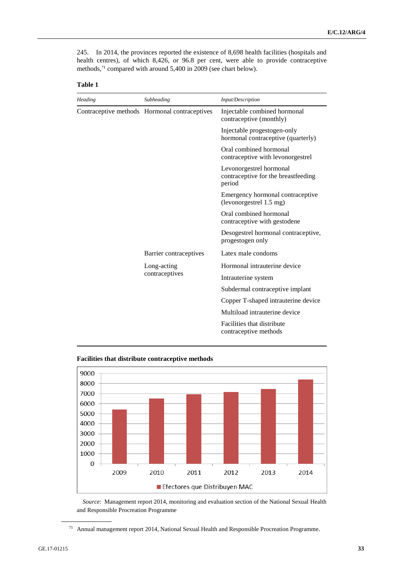245. In 2014, the provinces reported the existence of 8,698 health facilities (hospitals and health centres), of which 8,426, or 96.8 per cent, were able to provide contraceptive methods, <sup>71</sup> compared with around 5,400 in 2009 (see chart below).

| anıe |  |
|------|--|
|      |  |

| Heading | Subheading                                    | Input/Description                                                        |
|---------|-----------------------------------------------|--------------------------------------------------------------------------|
|         | Contraceptive methods Hormonal contraceptives | Injectable combined hormonal<br>contraceptive (monthly)                  |
|         |                                               | Injectable progestogen-only<br>hormonal contraceptive (quarterly)        |
|         |                                               | Oral combined hormonal<br>contraceptive with levonorgestrel              |
|         |                                               | Levonorgestrel hormonal<br>contraceptive for the breastfeeding<br>period |
|         |                                               | Emergency hormonal contraceptive<br>(levonorgestrel 1.5 mg)              |
|         |                                               | Oral combined hormonal<br>contraceptive with gestodene                   |
|         |                                               | Desogestrel hormonal contraceptive,<br>progestogen only                  |
|         | Barrier contraceptives                        | Latex male condoms                                                       |
|         | Long-acting                                   | Hormonal intrauterine device                                             |
|         | contraceptives                                | Intrauterine system                                                      |
|         |                                               | Subdermal contraceptive implant                                          |
|         |                                               | Copper T-shaped intrauterine device                                      |
|         |                                               | Multiload intrauterine device                                            |
|         |                                               | Facilities that distribute<br>contraceptive methods                      |





*Source*: Management report 2014, monitoring and evaluation section of the National Sexual Health and Responsible Procreation Programme

<sup>71</sup> Annual management report 2014, National Sexual Health and Responsible Procreation Programme.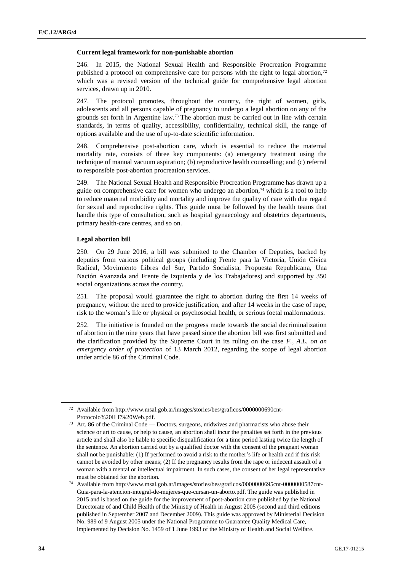#### **Current legal framework for non-punishable abortion**

246. In 2015, the National Sexual Health and Responsible Procreation Programme published a protocol on comprehensive care for persons with the right to legal abortion, $72$ which was a revised version of the technical guide for comprehensive legal abortion services, drawn up in 2010.

247. The protocol promotes, throughout the country, the right of women, girls, adolescents and all persons capable of pregnancy to undergo a legal abortion on any of the grounds set forth in Argentine law.<sup>73</sup> The abortion must be carried out in line with certain standards, in terms of quality, accessibility, confidentiality, technical skill, the range of options available and the use of up-to-date scientific information.

248. Comprehensive post-abortion care, which is essential to reduce the maternal mortality rate, consists of three key components: (a) emergency treatment using the technique of manual vacuum aspiration; (b) reproductive health counselling; and (c) referral to responsible post-abortion procreation services.

249. The National Sexual Health and Responsible Procreation Programme has drawn up a guide on comprehensive care for women who undergo an abortion,<sup>74</sup> which is a tool to help to reduce maternal morbidity and mortality and improve the quality of care with due regard for sexual and reproductive rights. This guide must be followed by the health teams that handle this type of consultation, such as hospital gynaecology and obstetrics departments, primary health-care centres, and so on.

# **Legal abortion bill**

250. On 29 June 2016, a bill was submitted to the Chamber of Deputies, backed by deputies from various political groups (including Frente para la Victoria, Unión Cívica Radical, Movimiento Libres del Sur, Partido Socialista, Propuesta Republicana, Una Nación Avanzada and Frente de Izquierda y de los Trabajadores) and supported by 350 social organizations across the country.

251. The proposal would guarantee the right to abortion during the first 14 weeks of pregnancy, without the need to provide justification, and after 14 weeks in the case of rape, risk to the woman's life or physical or psychosocial health, or serious foetal malformations.

252. The initiative is founded on the progress made towards the social decriminalization of abortion in the nine years that have passed since the abortion bill was first submitted and the clarification provided by the Supreme Court in its ruling on the case *F., A.L. on an emergency order of protection* of 13 March 2012, regarding the scope of legal abortion under article 86 of the Criminal Code.

<sup>72</sup> Available from http://www.msal.gob.ar/images/stories/bes/graficos/0000000690cnt-Protocolo%20ILE%20Web.pdf.

<sup>73</sup> Art. 86 of the Criminal Code — Doctors, surgeons, midwives and pharmacists who abuse their science or art to cause, or help to cause, an abortion shall incur the penalties set forth in the previous article and shall also be liable to specific disqualification for a time period lasting twice the length of the sentence. An abortion carried out by a qualified doctor with the consent of the pregnant woman shall not be punishable: (1) If performed to avoid a risk to the mother's life or health and if this risk cannot be avoided by other means; (2) If the pregnancy results from the rape or indecent assault of a woman with a mental or intellectual impairment. In such cases, the consent of her legal representative must be obtained for the abortion.

<sup>74</sup> Available from http://www.msal.gob.ar/images/stories/bes/graficos/0000000695cnt-0000000587cnt-Guia-para-la-atencion-integral-de-mujeres-que-cursan-un-aborto.pdf. The guide was published in 2015 and is based on the guide for the improvement of post-abortion care published by the National Directorate of and Child Health of the Ministry of Health in August 2005 (second and third editions published in September 2007 and December 2009). This guide was approved by Ministerial Decision No. 989 of 9 August 2005 under the National Programme to Guarantee Quality Medical Care, implemented by Decision No. 1459 of 1 June 1993 of the Ministry of Health and Social Welfare.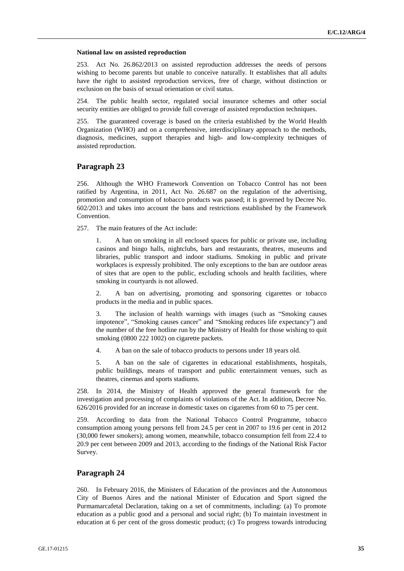#### **National law on assisted reproduction**

253. Act No. 26.862/2013 on assisted reproduction addresses the needs of persons wishing to become parents but unable to conceive naturally. It establishes that all adults have the right to assisted reproduction services, free of charge, without distinction or exclusion on the basis of sexual orientation or civil status.

The public health sector, regulated social insurance schemes and other social security entities are obliged to provide full coverage of assisted reproduction techniques.

255. The guaranteed coverage is based on the criteria established by the World Health Organization (WHO) and on a comprehensive, interdisciplinary approach to the methods, diagnosis, medicines, support therapies and high- and low-complexity techniques of assisted reproduction.

# **Paragraph 23**

256. Although the WHO Framework Convention on Tobacco Control has not been ratified by Argentina, in 2011, Act No. 26.687 on the regulation of the advertising, promotion and consumption of tobacco products was passed; it is governed by Decree No. 602/2013 and takes into account the bans and restrictions established by the Framework Convention.

257. The main features of the Act include:

1. A ban on smoking in all enclosed spaces for public or private use, including casinos and bingo halls, nightclubs, bars and restaurants, theatres, museums and libraries, public transport and indoor stadiums. Smoking in public and private workplaces is expressly prohibited. The only exceptions to the ban are outdoor areas of sites that are open to the public, excluding schools and health facilities, where smoking in courtyards is not allowed.

2. A ban on advertising, promoting and sponsoring cigarettes or tobacco products in the media and in public spaces.

The inclusion of health warnings with images (such as "Smoking causes impotence", "Smoking causes cancer" and "Smoking reduces life expectancy") and the number of the free hotline run by the Ministry of Health for those wishing to quit smoking (0800 222 1002) on cigarette packets.

4. A ban on the sale of tobacco products to persons under 18 years old.

5. A ban on the sale of cigarettes in educational establishments, hospitals, public buildings, means of transport and public entertainment venues, such as theatres, cinemas and sports stadiums.

258. In 2014, the Ministry of Health approved the general framework for the investigation and processing of complaints of violations of the Act. In addition, Decree No. 626/2016 provided for an increase in domestic taxes on cigarettes from 60 to 75 per cent.

259. According to data from the National Tobacco Control Programme, tobacco consumption among young persons fell from 24.5 per cent in 2007 to 19.6 per cent in 2012 (30,000 fewer smokers); among women, meanwhile, tobacco consumption fell from 22.4 to 20.9 per cent between 2009 and 2013, according to the findings of the National Risk Factor Survey.

# **Paragraph 24**

260. In February 2016, the Ministers of Education of the provinces and the Autonomous City of Buenos Aires and the national Minister of Education and Sport signed the Purmamarcafetal Declaration, taking on a set of commitments, including: (a) To promote education as a public good and a personal and social right; (b) To maintain investment in education at 6 per cent of the gross domestic product; (c) To progress towards introducing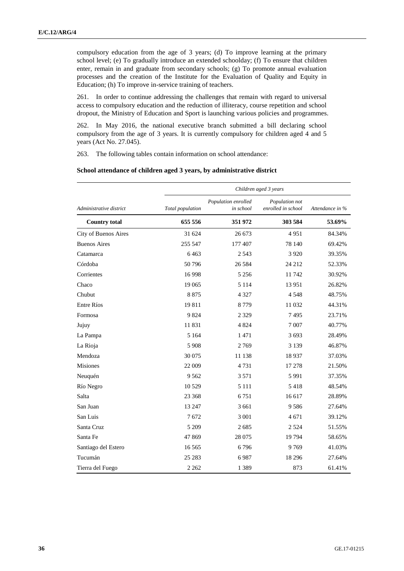compulsory education from the age of 3 years; (d) To improve learning at the primary school level; (e) To gradually introduce an extended schoolday; (f) To ensure that children enter, remain in and graduate from secondary schools; (g) To promote annual evaluation processes and the creation of the Institute for the Evaluation of Quality and Equity in Education; (h) To improve in-service training of teachers.

261. In order to continue addressing the challenges that remain with regard to universal access to compulsory education and the reduction of illiteracy, course repetition and school dropout, the Ministry of Education and Sport is launching various policies and programmes.

262. In May 2016, the national executive branch submitted a bill declaring school compulsory from the age of 3 years. It is currently compulsory for children aged 4 and 5 years (Act No. 27.045).

263. The following tables contain information on school attendance:

| School attendance of children aged 3 years, by administrative district |  |  |  |
|------------------------------------------------------------------------|--|--|--|
|------------------------------------------------------------------------|--|--|--|

|                         | Children aged 3 years |                                  |                                      |                 |  |
|-------------------------|-----------------------|----------------------------------|--------------------------------------|-----------------|--|
| Administrative district | Total population      | Population enrolled<br>in school | Population not<br>enrolled in school | Attendance in % |  |
| <b>Country total</b>    | 655 556               | 351 972                          | 303 584                              | 53.69%          |  |
| City of Buenos Aires    | 31 624                | 26 673                           | 4951                                 | 84.34%          |  |
| <b>Buenos Aires</b>     | 255 547               | 177 407                          | 78 140                               | 69.42%          |  |
| Catamarca               | 6463                  | 2 5 4 3                          | 3 9 2 0                              | 39.35%          |  |
| Córdoba                 | 50796                 | 26 5 84                          | 24 212                               | 52.33%          |  |
| Corrientes              | 16998                 | 5 2 5 6                          | 11742                                | 30.92%          |  |
| Chaco                   | 19 0 65               | 5 1 1 4                          | 13 9 51                              | 26.82%          |  |
| Chubut                  | 8875                  | 4 3 2 7                          | 4 5 4 8                              | 48.75%          |  |
| Entre Ríos              | 19811                 | 8779                             | 11 032                               | 44.31%          |  |
| Formosa                 | 9824                  | 2 3 2 9                          | 7495                                 | 23.71%          |  |
| Jujuy                   | 11831                 | 4 8 2 4                          | 7 0 0 7                              | 40.77%          |  |
| La Pampa                | 5 1 6 4               | 1471                             | 3 6 9 3                              | 28.49%          |  |
| La Rioja                | 5 9 0 8               | 2769                             | 3 1 3 9                              | 46.87%          |  |
| Mendoza                 | 30 0 75               | 11 138                           | 18937                                | 37.03%          |  |
| <b>Misiones</b>         | 22 009                | 4731                             | 17 278                               | 21.50%          |  |
| Neuquén                 | 9 5 6 2               | 3 5 7 1                          | 5 9 9 1                              | 37.35%          |  |
| Río Negro               | 10 5 29               | 5 1 1 1                          | 5418                                 | 48.54%          |  |
| Salta                   | 23 3 68               | 6751                             | 16 617                               | 28.89%          |  |
| San Juan                | 13 247                | 3 6 6 1                          | 9586                                 | 27.64%          |  |
| San Luis                | 7672                  | 3 0 0 1                          | 4 671                                | 39.12%          |  |
| Santa Cruz              | 5 2 0 9               | 2685                             | 2 5 2 4                              | 51.55%          |  |
| Santa Fe                | 47869                 | 28 075                           | 19 7 94                              | 58.65%          |  |
| Santiago del Estero     | 16 5 6 5              | 6796                             | 9769                                 | 41.03%          |  |
| Tucumán                 | 25 28 3               | 6987                             | 18 29 6                              | 27.64%          |  |
| Tierra del Fuego        | 2 2 6 2               | 1 3 8 9                          | 873                                  | 61.41%          |  |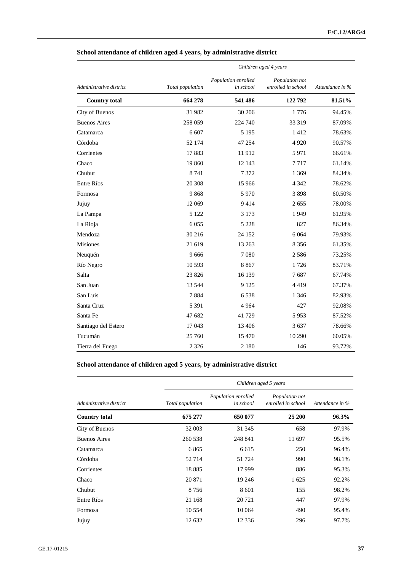|                         | Children aged 4 years |                                  |                                      |                 |  |
|-------------------------|-----------------------|----------------------------------|--------------------------------------|-----------------|--|
| Administrative district | Total population      | Population enrolled<br>in school | Population not<br>enrolled in school | Attendance in % |  |
| <b>Country total</b>    | 664 278               | 541 486                          | 122 792                              | 81.51%          |  |
| City of Buenos          | 31 982                | 30 20 6                          | 1776                                 | 94.45%          |  |
| <b>Buenos Aires</b>     | 258 059               | 224 740                          | 33 319                               | 87.09%          |  |
| Catamarca               | 6 607                 | 5 1 9 5                          | 1412                                 | 78.63%          |  |
| Córdoba                 | 52 174                | 47 254                           | 4 9 2 0                              | 90.57%          |  |
| Corrientes              | 17883                 | 11912                            | 5 9 7 1                              | 66.61%          |  |
| Chaco                   | 19 860                | 12 143                           | 7717                                 | 61.14%          |  |
| Chubut                  | 8 7 4 1               | 7372                             | 1 3 6 9                              | 84.34%          |  |
| Entre Ríos              | 20 30 8               | 15 9 66                          | 4 3 4 2                              | 78.62%          |  |
| Formosa                 | 9868                  | 5970                             | 3898                                 | 60.50%          |  |
| Jujuy                   | 12 069                | 9414                             | 2655                                 | 78.00%          |  |
| La Pampa                | 5 1 2 2               | 3 1 7 3                          | 1949                                 | 61.95%          |  |
| La Rioja                | 6 0 5 5               | 5 2 2 8                          | 827                                  | 86.34%          |  |
| Mendoza                 | 30 216                | 24 152                           | 6 0 6 4                              | 79.93%          |  |
| <b>Misiones</b>         | 21 619                | 13 26 3                          | 8 3 5 6                              | 61.35%          |  |
| Neuquén                 | 9 6 6 6               | 7080                             | 2 5 8 6                              | 73.25%          |  |
| Río Negro               | 10 5 93               | 8867                             | 1726                                 | 83.71%          |  |
| Salta                   | 23 8 26               | 16 139                           | 7687                                 | 67.74%          |  |
| San Juan                | 13 5 44               | 9 1 2 5                          | 4419                                 | 67.37%          |  |
| San Luis                | 7884                  | 6538                             | 1 3 4 6                              | 82.93%          |  |
| Santa Cruz              | 5 3 9 1               | 4 9 6 4                          | 427                                  | 92.08%          |  |
| Santa Fe                | 47 682                | 41729                            | 5953                                 | 87.52%          |  |
| Santiago del Estero     | 17043                 | 13 4 06                          | 3 6 3 7                              | 78.66%          |  |
| Tucumán                 | 25 760                | 15470                            | 10 290                               | 60.05%          |  |
| Tierra del Fuego        | 2 3 2 6               | 2 1 8 0                          | 146                                  | 93.72%          |  |

# **School attendance of children aged 4 years, by administrative district**

# **School attendance of children aged 5 years, by administrative district**

|                         | Children aged 5 years |                                  |                                      |                 |  |
|-------------------------|-----------------------|----------------------------------|--------------------------------------|-----------------|--|
| Administrative district | Total population      | Population enrolled<br>in school | Population not<br>enrolled in school | Attendance in % |  |
| <b>Country total</b>    | 675 277               | 650 077                          | 25 200                               | 96.3%           |  |
| City of Buenos          | 32 003                | 31 345                           | 658                                  | 97.9%           |  |
| <b>Buenos Aires</b>     | 260 538               | 248 841                          | 11 697                               | 95.5%           |  |
| Catamarca               | 6865                  | 6 6 1 5                          | 250                                  | 96.4%           |  |
| Córdoba                 | 52714                 | 51 724                           | 990                                  | 98.1%           |  |
| Corrientes              | 18885                 | 17 9 99                          | 886                                  | 95.3%           |  |
| Chaco                   | 20 871                | 19 24 6                          | 1 625                                | 92.2%           |  |
| Chubut                  | 8756                  | 8 6 0 1                          | 155                                  | 98.2%           |  |
| Entre Ríos              | 21 168                | 20 721                           | 447                                  | 97.9%           |  |
| Formosa                 | 10 554                | 10 0 64                          | 490                                  | 95.4%           |  |
| Jujuy                   | 12 632                | 12 3 3 6                         | 296                                  | 97.7%           |  |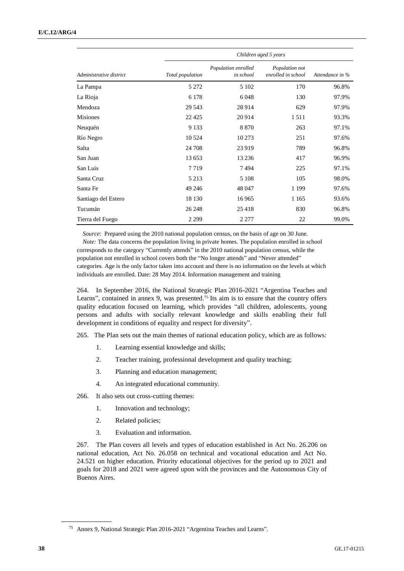|                         | Children aged 5 years |                                  |                                      |                 |  |
|-------------------------|-----------------------|----------------------------------|--------------------------------------|-----------------|--|
| Administrative district | Total population      | Population enrolled<br>in school | Population not<br>enrolled in school | Attendance in % |  |
| La Pampa                | 5 2 7 2               | 5 1 0 2                          | 170                                  | 96.8%           |  |
| La Rioja                | 6 1 7 8               | 6 0 4 8                          | 130                                  | 97.9%           |  |
| Mendoza                 | 29 543                | 28 9 14                          | 629                                  | 97.9%           |  |
| <b>Misiones</b>         | 22 4 25               | 20 9 14                          | 1511                                 | 93.3%           |  |
| Neuquén                 | 9 1 3 3               | 8 8 7 0                          | 263                                  | 97.1%           |  |
| Río Negro               | 10 5 24               | 10 273                           | 251                                  | 97.6%           |  |
| Salta                   | 24 708                | 23 9 19                          | 789                                  | 96.8%           |  |
| San Juan                | 13 653                | 13 2 36                          | 417                                  | 96.9%           |  |
| San Luis                | 7719                  | 7494                             | 225                                  | 97.1%           |  |
| Santa Cruz              | 5 2 1 3               | 5 1 0 8                          | 105                                  | 98.0%           |  |
| Santa Fe                | 49 24 6               | 48 047                           | 1 1 9 9                              | 97.6%           |  |
| Santiago del Estero     | 18 130                | 16 9 65                          | 1 1 6 5                              | 93.6%           |  |
| Tucumán                 | 26 248                | 25 4 18                          | 830                                  | 96.8%           |  |
| Tierra del Fuego        | 2 2 9 9               | 2 2 7 7                          | 22                                   | 99.0%           |  |

*Source*: Prepared using the 2010 national population census, on the basis of age on 30 June.

*Note:* The data concerns the population living in private homes. The population enrolled in school corresponds to the category "Currently attends" in the 2010 national population census, while the population not enrolled in school covers both the "No longer attends" and "Never attended" categories. Age is the only factor taken into account and there is no information on the levels at which individuals are enrolled. Date: 28 May 2014. Information management and training

264. In September 2016, the National Strategic Plan 2016-2021 "Argentina Teaches and Learns", contained in annex 9, was presented.<sup>75</sup> Its aim is to ensure that the country offers quality education focused on learning, which provides "all children, adolescents, young persons and adults with socially relevant knowledge and skills enabling their full development in conditions of equality and respect for diversity".

265. The Plan sets out the main themes of national education policy, which are as follows:

- 1. Learning essential knowledge and skills;
- 2. Teacher training, professional development and quality teaching;
- 3. Planning and education management;
- 4. An integrated educational community.
- 266. It also sets out cross-cutting themes:
	- 1. Innovation and technology;
	- 2. Related policies;
	- 3. Evaluation and information.

267. The Plan covers all levels and types of education established in Act No. 26.206 on national education, Act No. 26.058 on technical and vocational education and Act No. 24.521 on higher education. Priority educational objectives for the period up to 2021 and goals for 2018 and 2021 were agreed upon with the provinces and the Autonomous City of Buenos Aires.

<sup>75</sup> Annex 9, National Strategic Plan 2016-2021 "Argentina Teaches and Learns".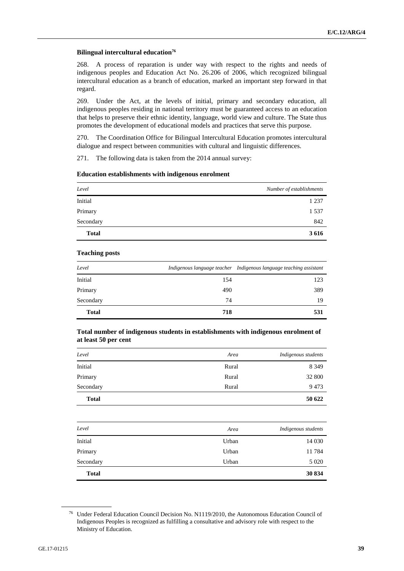#### **Bilingual intercultural education<sup>76</sup>**

268. A process of reparation is under way with respect to the rights and needs of indigenous peoples and Education Act No. 26.206 of 2006, which recognized bilingual intercultural education as a branch of education, marked an important step forward in that regard.

269. Under the Act, at the levels of initial, primary and secondary education, all indigenous peoples residing in national territory must be guaranteed access to an education that helps to preserve their ethnic identity, language, world view and culture. The State thus promotes the development of educational models and practices that serve this purpose.

270. The Coordination Office for Bilingual Intercultural Education promotes intercultural dialogue and respect between communities with cultural and linguistic differences.

271. The following data is taken from the 2014 annual survey:

| Level        | Number of establishments |
|--------------|--------------------------|
| Initial      | 1 2 3 7                  |
| Primary      | 1 5 3 7                  |
| Secondary    | 842                      |
| <b>Total</b> | 3 6 1 6                  |

# **Education establishments with indigenous enrolment**

## **Teaching posts**

| Level        |     | Indigenous language teacher Indigenous language teaching assistant |
|--------------|-----|--------------------------------------------------------------------|
| Initial      | 154 | 123                                                                |
| Primary      | 490 | 389                                                                |
| Secondary    | 74  | 19                                                                 |
| <b>Total</b> | 718 | 531                                                                |

## **Total number of indigenous students in establishments with indigenous enrolment of at least 50 per cent**

| Level        | Area  | Indigenous students |
|--------------|-------|---------------------|
| Initial      | Rural | 8 3 4 9             |
| Primary      | Rural | 32 800              |
| Secondary    | Rural | 9473                |
| <b>Total</b> |       | 50 622              |

| Level        | Area  | Indigenous students |
|--------------|-------|---------------------|
| Initial      | Urban | 14 030              |
| Primary      | Urban | 11784               |
| Secondary    | Urban | 5 0 20              |
| <b>Total</b> |       | 30 834              |

<sup>76</sup> Under Federal Education Council Decision No. N1119/2010, the Autonomous Education Council of Indigenous Peoples is recognized as fulfilling a consultative and advisory role with respect to the Ministry of Education.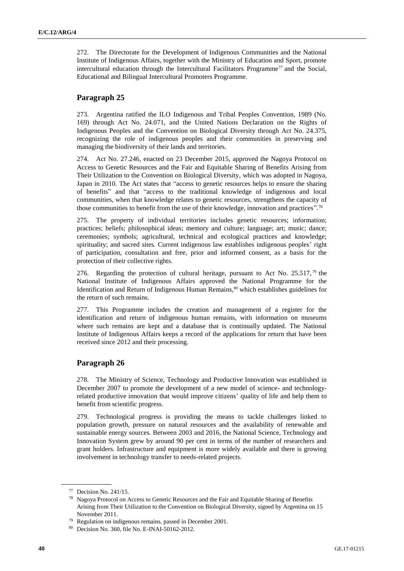272. The Directorate for the Development of Indigenous Communities and the National Institute of Indigenous Affairs, together with the Ministry of Education and Sport, promote intercultural education through the Intercultural Facilitators Programme<sup>77</sup> and the Social, Educational and Bilingual Intercultural Promoters Programme.

# **Paragraph 25**

273. Argentina ratified the ILO Indigenous and Tribal Peoples Convention, 1989 (No. 169) through Act No. 24.071, and the United Nations Declaration on the Rights of Indigenous Peoples and the Convention on Biological Diversity through Act No. 24.375, recognizing the role of indigenous peoples and their communities in preserving and managing the biodiversity of their lands and territories.

274. Act No. 27.246, enacted on 23 December 2015, approved the Nagoya Protocol on Access to Genetic Resources and the Fair and Equitable Sharing of Benefits Arising from Their Utilization to the Convention on Biological Diversity, which was adopted in Nagoya, Japan in 2010. The Act states that "access to genetic resources helps to ensure the sharing of benefits" and that "access to the traditional knowledge of indigenous and local communities, when that knowledge relates to genetic resources, strengthens the capacity of those communities to benefit from the use of their knowledge, innovation and practices".<sup>78</sup>

275. The property of individual territories includes genetic resources; information; practices; beliefs; philosophical ideas; memory and culture; language; art; music; dance; ceremonies; symbols; agricultural, technical and ecological practices and knowledge; spirituality; and sacred sites. Current indigenous law establishes indigenous peoples' right of participation, consultation and free, prior and informed consent, as a basis for the protection of their collective rights.

276. Regarding the protection of cultural heritage, pursuant to Act No. 25.517,<sup>79</sup> the National Institute of Indigenous Affairs approved the National Programme for the Identification and Return of Indigenous Human Remains,<sup>80</sup> which establishes guidelines for the return of such remains.

277. This Programme includes the creation and management of a register for the identification and return of indigenous human remains, with information on museums where such remains are kept and a database that is continually updated. The National Institute of Indigenous Affairs keeps a record of the applications for return that have been received since 2012 and their processing.

# **Paragraph 26**

278. The Ministry of Science, Technology and Productive Innovation was established in December 2007 to promote the development of a new model of science- and technologyrelated productive innovation that would improve citizens' quality of life and help them to benefit from scientific progress.

279. Technological progress is providing the means to tackle challenges linked to population growth, pressure on natural resources and the availability of renewable and sustainable energy sources. Between 2003 and 2016, the National Science, Technology and Innovation System grew by around 90 per cent in terms of the number of researchers and grant holders. Infrastructure and equipment is more widely available and there is growing involvement in technology transfer to needs-related projects.

<sup>77</sup> Decision No. 241/15.

<sup>78</sup> Nagoya Protocol on Access to Genetic Resources and the Fair and Equitable Sharing of Benefits Arising from Their Utilization to the Convention on Biological Diversity, signed by Argentina on 15 November 2011.

<sup>79</sup> Regulation on indigenous remains, passed in December 2001.

<sup>80</sup> Decision No. 360, file No. E-INAI-50162-2012.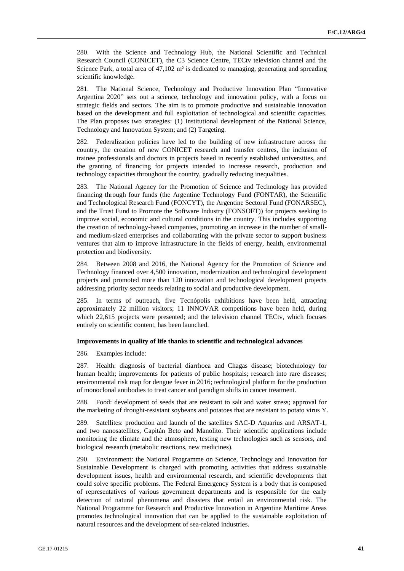280. With the Science and Technology Hub, the National Scientific and Technical Research Council (CONICET), the C3 Science Centre, TECtv television channel and the Science Park, a total area of  $47,102$  m<sup>2</sup> is dedicated to managing, generating and spreading scientific knowledge.

281. The National Science, Technology and Productive Innovation Plan "Innovative Argentina 2020" sets out a science, technology and innovation policy, with a focus on strategic fields and sectors. The aim is to promote productive and sustainable innovation based on the development and full exploitation of technological and scientific capacities. The Plan proposes two strategies: (1) Institutional development of the National Science, Technology and Innovation System; and (2) Targeting.

282. Federalization policies have led to the building of new infrastructure across the country, the creation of new CONICET research and transfer centres, the inclusion of trainee professionals and doctors in projects based in recently established universities, and the granting of financing for projects intended to increase research, production and technology capacities throughout the country, gradually reducing inequalities.

283. The National Agency for the Promotion of Science and Technology has provided financing through four funds (the Argentine Technology Fund (FONTAR), the Scientific and Technological Research Fund (FONCYT), the Argentine Sectoral Fund (FONARSEC), and the Trust Fund to Promote the Software Industry (FONSOFT)) for projects seeking to improve social, economic and cultural conditions in the country. This includes supporting the creation of technology-based companies, promoting an increase in the number of smalland medium-sized enterprises and collaborating with the private sector to support business ventures that aim to improve infrastructure in the fields of energy, health, environmental protection and biodiversity.

284. Between 2008 and 2016, the National Agency for the Promotion of Science and Technology financed over 4,500 innovation, modernization and technological development projects and promoted more than 120 innovation and technological development projects addressing priority sector needs relating to social and productive development.

285. In terms of outreach, five Tecnópolis exhibitions have been held, attracting approximately 22 million visitors; 11 INNOVAR competitions have been held, during which 22,615 projects were presented; and the television channel TECtv, which focuses entirely on scientific content, has been launched.

#### **Improvements in quality of life thanks to scientific and technological advances**

286. Examples include:

287. Health: diagnosis of bacterial diarrhoea and Chagas disease; biotechnology for human health; improvements for patients of public hospitals; research into rare diseases; environmental risk map for dengue fever in 2016; technological platform for the production of monoclonal antibodies to treat cancer and paradigm shifts in cancer treatment.

288. Food: development of seeds that are resistant to salt and water stress; approval for the marketing of drought-resistant soybeans and potatoes that are resistant to potato virus Y.

289. Satellites: production and launch of the satellites SAC-D Aquarius and ARSAT-1, and two nanosatellites, Capitán Beto and Manolito. Their scientific applications include monitoring the climate and the atmosphere, testing new technologies such as sensors, and biological research (metabolic reactions, new medicines).

290. Environment: the National Programme on Science, Technology and Innovation for Sustainable Development is charged with promoting activities that address sustainable development issues, health and environmental research, and scientific developments that could solve specific problems. The Federal Emergency System is a body that is composed of representatives of various government departments and is responsible for the early detection of natural phenomena and disasters that entail an environmental risk. The National Programme for Research and Productive Innovation in Argentine Maritime Areas promotes technological innovation that can be applied to the sustainable exploitation of natural resources and the development of sea-related industries.